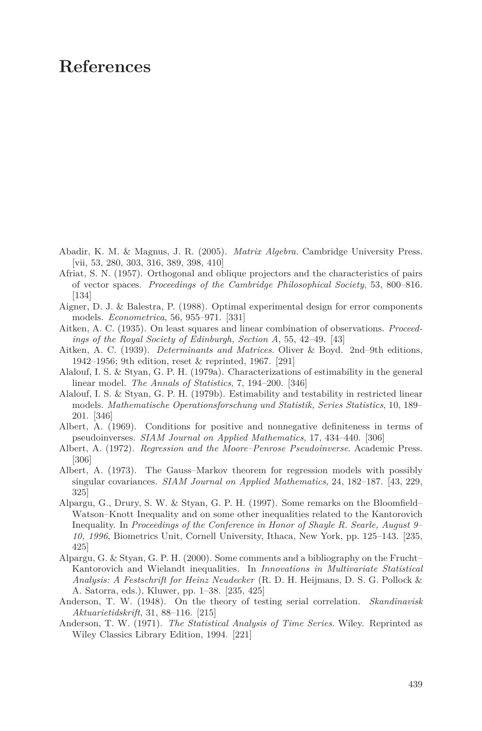## **References**

- Abadir, K. M. & Magnus, J. R. (2005). *Matrix Algebra*. Cambridge University Press. [vii, 53, 280, 303, 316, 389, 398, 410]
- Afriat, S. N. (1957). Orthogonal and oblique projectors and the characteristics of pairs of vector spaces. *Proceedings of the Cambridge Philosophical Society*, 53, 800–816. [134]
- Aigner, D. J. & Balestra, P. (1988). Optimal experimental design for error components models. *Econometrica*, 56, 955–971. [331]
- Aitken, A. C. (1935). On least squares and linear combination of observations. *Proceedings of the Royal Society of Edinburgh, Section A*, 55, 42–49. [43]
- Aitken, A. C. (1939). *Determinants and Matrices*. Oliver & Boyd. 2nd–9th editions, 1942–1956; 9th edition, reset & reprinted, 1967. [291]
- Alalouf, I. S. & Styan, G. P. H. (1979a). Characterizations of estimability in the general linear model. *The Annals of Statistics*, 7, 194–200. [346]
- Alalouf, I. S. & Styan, G. P. H. (1979b). Estimability and testability in restricted linear models. *Mathematische Operationsforschung und Statistik, Series Statistics*, 10, 189– 201. [346]
- Albert, A. (1969). Conditions for positive and nonnegative definiteness in terms of pseudoinverses. *SIAM Journal on Applied Mathematics*, 17, 434–440. [306]
- Albert, A. (1972). *Regression and the Moore–Penrose Pseudoinverse*. Academic Press. [306]
- Albert, A. (1973). The Gauss–Markov theorem for regression models with possibly singular covariances. *SIAM Journal on Applied Mathematics*, 24, 182–187. [43, 229, 325]
- Alpargu, G., Drury, S. W. & Styan, G. P. H. (1997). Some remarks on the Bloomfield– Watson–Knott Inequality and on some other inequalities related to the Kantorovich Inequality. In *Proceedings of the Conference in Honor of Shayle R. Searle, August 9– 10, 1996*, Biometrics Unit, Cornell University, Ithaca, New York, pp. 125–143. [235, 425]
- Alpargu, G. & Styan, G. P. H. (2000). Some comments and a bibliography on the Frucht– Kantorovich and Wielandt inequalities. In *Innovations in Multivariate Statistical Analysis: A Festschrift for Heinz Neudecker* (R. D. H. Heijmans, D. S. G. Pollock & A. Satorra, eds.), Kluwer, pp. 1–38. [235, 425]
- Anderson, T. W. (1948). On the theory of testing serial correlation. *Skandinavisk Aktuarietidskrift*, 31, 88–116. [215]
- Anderson, T. W. (1971). *The Statistical Analysis of Time Series*. Wiley. Reprinted as Wiley Classics Library Edition, 1994. [221]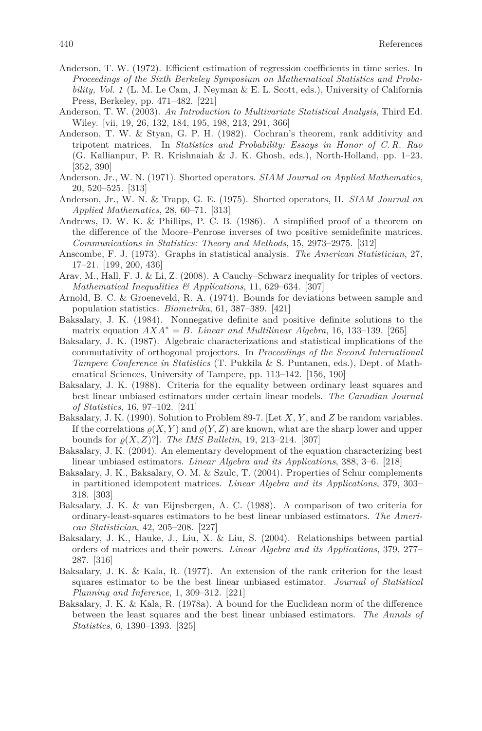- Anderson, T. W. (1972). Efficient estimation of regression coefficients in time series. In *Proceedings of the Sixth Berkeley Symposium on Mathematical Statistics and Probability, Vol. 1* (L. M. Le Cam, J. Neyman & E. L. Scott, eds.), University of California Press, Berkeley, pp. 471–482. [221]
- Anderson, T. W. (2003). *An Introduction to Multivariate Statistical Analysis*, Third Ed. Wiley. [vii, 19, 26, 132, 184, 195, 198, 213, 291, 366]
- Anderson, T. W. & Styan, G. P. H. (1982). Cochran's theorem, rank additivity and tripotent matrices. In *Statistics and Probability: Essays in Honor of C. R. Rao* (G. Kallianpur, P. R. Krishnaiah & J. K. Ghosh, eds.), North-Holland, pp. 1–23. [352, 390]
- Anderson, Jr., W. N. (1971). Shorted operators. *SIAM Journal on Applied Mathematics*, 20, 520–525. [313]
- Anderson, Jr., W. N. & Trapp, G. E. (1975). Shorted operators, II. *SIAM Journal on Applied Mathematics*, 28, 60–71. [313]
- Andrews, D. W. K. & Phillips, P. C. B. (1986). A simplified proof of a theorem on the difference of the Moore–Penrose inverses of two positive semidefinite matrices. *Communications in Statistics: Theory and Methods*, 15, 2973–2975. [312]
- Anscombe, F. J. (1973). Graphs in statistical analysis. *The American Statistician*, 27, 17–21. [199, 200, 436]
- Arav, M., Hall, F. J. & Li, Z. (2008). A Cauchy–Schwarz inequality for triples of vectors. *Mathematical Inequalities & Applications*, 11, 629–634. [307]
- Arnold, B. C. & Groeneveld, R. A. (1974). Bounds for deviations between sample and population statistics. *Biometrika*, 61, 387–389. [421]
- Baksalary, J. K. (1984). Nonnegative definite and positive definite solutions to the matrix equation  $AXA^* = B$ . *Linear and Multilinear Algebra*, 16, 133–139. [265]
- Baksalary, J. K. (1987). Algebraic characterizations and statistical implications of the commutativity of orthogonal projectors. In *Proceedings of the Second International Tampere Conference in Statistics* (T. Pukkila & S. Puntanen, eds.), Dept. of Mathematical Sciences, University of Tampere, pp. 113–142. [156, 190]
- Baksalary, J. K. (1988). Criteria for the equality between ordinary least squares and best linear unbiased estimators under certain linear models. *The Canadian Journal of Statistics*, 16, 97–102. [241]
- Baksalary, J. K. (1990). Solution to Problem 89-7. [Let *X*, *Y* , and *Z* be random variables. If the correlations  $\varrho(X, Y)$  and  $\varrho(Y, Z)$  are known, what are the sharp lower and upper bounds for  $\rho(X, Z)$ ?]. *The IMS Bulletin*, 19, 213–214. [307]
- Baksalary, J. K. (2004). An elementary development of the equation characterizing best linear unbiased estimators. *Linear Algebra and its Applications*, 388, 3–6. [218]
- Baksalary, J. K., Baksalary, O. M. & Szulc, T. (2004). Properties of Schur complements in partitioned idempotent matrices. *Linear Algebra and its Applications*, 379, 303– 318. [303]
- Baksalary, J. K. & van Eijnsbergen, A. C. (1988). A comparison of two criteria for ordinary-least-squares estimators to be best linear unbiased estimators. *The American Statistician*, 42, 205–208. [227]
- Baksalary, J. K., Hauke, J., Liu, X. & Liu, S. (2004). Relationships between partial orders of matrices and their powers. *Linear Algebra and its Applications*, 379, 277– 287. [316]
- Baksalary, J. K. & Kala, R. (1977). An extension of the rank criterion for the least squares estimator to be the best linear unbiased estimator. *Journal of Statistical Planning and Inference*, 1, 309–312. [221]
- Baksalary, J. K. & Kala, R. (1978a). A bound for the Euclidean norm of the difference between the least squares and the best linear unbiased estimators. *The Annals of Statistics*, 6, 1390–1393. [325]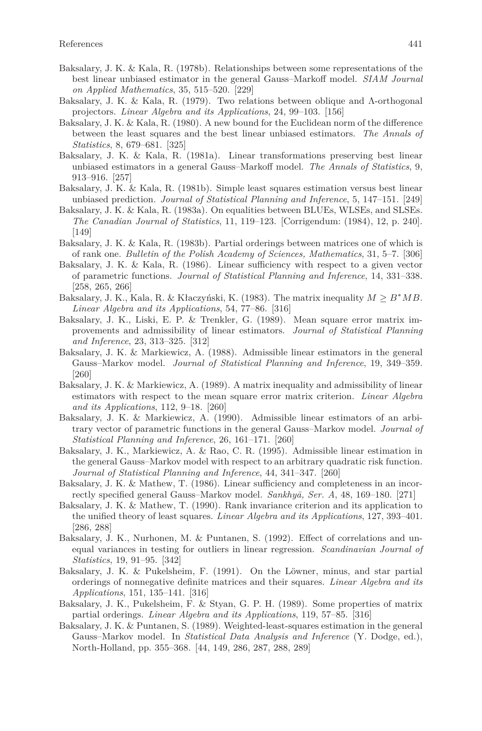- Baksalary, J. K. & Kala, R. (1978b). Relationships between some representations of the best linear unbiased estimator in the general Gauss–Markoff model. *SIAM Journal on Applied Mathematics*, 35, 515–520. [229]
- Baksalary, J. K. & Kala, R. (1979). Two relations between oblique and Λ-orthogonal projectors. *Linear Algebra and its Applications*, 24, 99–103. [156]
- Baksalary, J. K. & Kala, R. (1980). A new bound for the Euclidean norm of the difference between the least squares and the best linear unbiased estimators. *The Annals of Statistics*, 8, 679–681. [325]
- Baksalary, J. K. & Kala, R. (1981a). Linear transformations preserving best linear unbiased estimators in a general Gauss–Markoff model. *The Annals of Statistics*, 9, 913–916. [257]
- Baksalary, J. K. & Kala, R. (1981b). Simple least squares estimation versus best linear unbiased prediction. *Journal of Statistical Planning and Inference*, 5, 147–151. [249]
- Baksalary, J. K. & Kala, R. (1983a). On equalities between BLUEs, WLSEs, and SLSEs. *The Canadian Journal of Statistics*, 11, 119–123. [Corrigendum: (1984), 12, p. 240]. [149]
- Baksalary, J. K. & Kala, R. (1983b). Partial orderings between matrices one of which is of rank one. *Bulletin of the Polish Academy of Sciences, Mathematics*, 31, 5–7. [306]
- Baksalary, J. K. & Kala, R. (1986). Linear sufficiency with respect to a given vector of parametric functions. *Journal of Statistical Planning and Inference*, 14, 331–338. [258, 265, 266]
- Baksalary, J. K., Kala, R. & Kłaczyński, K. (1983). The matrix inequality  $M \geq B^*MB$ . *Linear Algebra and its Applications*, 54, 77–86. [316]
- Baksalary, J. K., Liski, E. P. & Trenkler, G. (1989). Mean square error matrix improvements and admissibility of linear estimators. *Journal of Statistical Planning and Inference*, 23, 313–325. [312]
- Baksalary, J. K. & Markiewicz, A. (1988). Admissible linear estimators in the general Gauss–Markov model. *Journal of Statistical Planning and Inference*, 19, 349–359. [260]
- Baksalary, J. K. & Markiewicz, A. (1989). A matrix inequality and admissibility of linear estimators with respect to the mean square error matrix criterion. *Linear Algebra and its Applications*, 112, 9–18. [260]
- Baksalary, J. K. & Markiewicz, A. (1990). Admissible linear estimators of an arbitrary vector of parametric functions in the general Gauss–Markov model. *Journal of Statistical Planning and Inference*, 26, 161–171. [260]
- Baksalary, J. K., Markiewicz, A. & Rao, C. R. (1995). Admissible linear estimation in the general Gauss–Markov model with respect to an arbitrary quadratic risk function. *Journal of Statistical Planning and Inference*, 44, 341–347. [260]
- Baksalary, J. K. & Mathew, T. (1986). Linear sufficiency and completeness in an incorrectly specified general Gauss–Markov model. *Sankhyā*, *Ser. A*, 48, 169–180. [271]
- Baksalary, J. K. & Mathew, T. (1990). Rank invariance criterion and its application to the unified theory of least squares. *Linear Algebra and its Applications*, 127, 393–401. [286, 288]
- Baksalary, J. K., Nurhonen, M. & Puntanen, S. (1992). Effect of correlations and unequal variances in testing for outliers in linear regression. *Scandinavian Journal of Statistics*, 19, 91–95. [342]
- Baksalary, J. K. & Pukelsheim, F. (1991). On the Löwner, minus, and star partial orderings of nonnegative definite matrices and their squares. *Linear Algebra and its Applications*, 151, 135–141. [316]
- Baksalary, J. K., Pukelsheim, F. & Styan, G. P. H. (1989). Some properties of matrix partial orderings. *Linear Algebra and its Applications*, 119, 57–85. [316]
- Baksalary, J. K. & Puntanen, S. (1989). Weighted-least-squares estimation in the general Gauss–Markov model. In *Statistical Data Analysis and Inference* (Y. Dodge, ed.), North-Holland, pp. 355–368. [44, 149, 286, 287, 288, 289]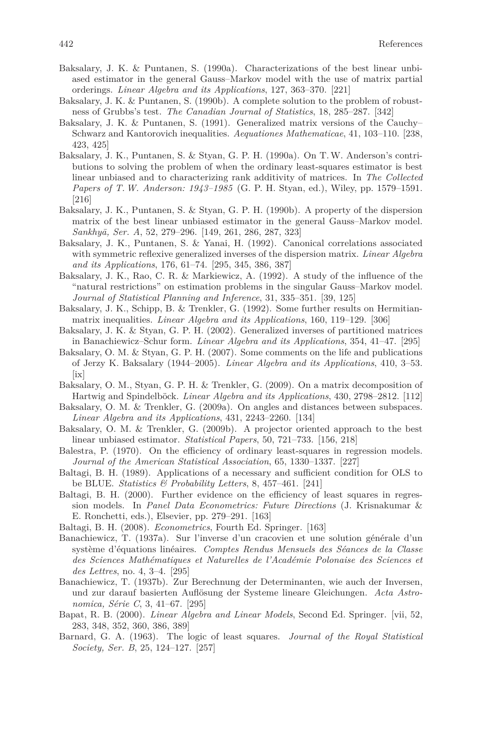- Baksalary, J. K. & Puntanen, S. (1990a). Characterizations of the best linear unbiased estimator in the general Gauss–Markov model with the use of matrix partial orderings. *Linear Algebra and its Applications*, 127, 363–370. [221]
- Baksalary, J. K. & Puntanen, S. (1990b). A complete solution to the problem of robustness of Grubbs's test. *The Canadian Journal of Statistics*, 18, 285–287. [342]
- Baksalary, J. K. & Puntanen, S. (1991). Generalized matrix versions of the Cauchy– Schwarz and Kantorovich inequalities. *Aequationes Mathematicae*, 41, 103–110. [238, 423, 425]
- Baksalary, J. K., Puntanen, S. & Styan, G. P. H. (1990a). On T.W. Anderson's contributions to solving the problem of when the ordinary least-squares estimator is best linear unbiased and to characterizing rank additivity of matrices. In *The Collected Papers of T. W. Anderson: 1943–1985* (G. P. H. Styan, ed.), Wiley, pp. 1579–1591. [216]
- Baksalary, J. K., Puntanen, S. & Styan, G. P. H. (1990b). A property of the dispersion matrix of the best linear unbiased estimator in the general Gauss–Markov model. *Sankhy¯a, Ser. A*, 52, 279–296. [149, 261, 286, 287, 323]
- Baksalary, J. K., Puntanen, S. & Yanai, H. (1992). Canonical correlations associated with symmetric reflexive generalized inverses of the dispersion matrix. *Linear Algebra and its Applications*, 176, 61–74. [295, 345, 386, 387]
- Baksalary, J. K., Rao, C. R. & Markiewicz, A. (1992). A study of the influence of the "natural restrictions" on estimation problems in the singular Gauss–Markov model. *Journal of Statistical Planning and Inference*, 31, 335–351. [39, 125]
- Baksalary, J. K., Schipp, B. & Trenkler, G. (1992). Some further results on Hermitianmatrix inequalities. *Linear Algebra and its Applications*, 160, 119–129. [306]
- Baksalary, J. K. & Styan, G. P. H. (2002). Generalized inverses of partitioned matrices in Banachiewicz–Schur form. *Linear Algebra and its Applications*, 354, 41–47. [295]
- Baksalary, O. M. & Styan, G. P. H. (2007). Some comments on the life and publications of Jerzy K. Baksalary (1944–2005). *Linear Algebra and its Applications*, 410, 3–53. [ix]
- Baksalary, O. M., Styan, G. P. H. & Trenkler, G. (2009). On a matrix decomposition of Hartwig and Spindelböck. *Linear Algebra and its Applications*, 430, 2798–2812. [112]
- Baksalary, O. M. & Trenkler, G. (2009a). On angles and distances between subspaces. *Linear Algebra and its Applications*, 431, 2243–2260. [134]
- Baksalary, O. M. & Trenkler, G. (2009b). A projector oriented approach to the best linear unbiased estimator. *Statistical Papers*, 50, 721–733. [156, 218]
- Balestra, P. (1970). On the efficiency of ordinary least-squares in regression models. *Journal of the American Statistical Association*, 65, 1330–1337. [227]
- Baltagi, B. H. (1989). Applications of a necessary and sufficient condition for OLS to be BLUE. *Statistics & Probability Letters*, 8, 457–461. [241]
- Baltagi, B. H. (2000). Further evidence on the efficiency of least squares in regression models. In *Panel Data Econometrics: Future Directions* (J. Krisnakumar & E. Ronchetti, eds.), Elsevier, pp. 279–291. [163]
- Baltagi, B. H. (2008). *Econometrics*, Fourth Ed. Springer. [163]
- Banachiewicz, T. (1937a). Sur l'inverse d'un cracovien et une solution générale d'un système d'équations linéaires. *Comptes Rendus Mensuels des Séances de la Classe des Sciences Mathématiques et Naturelles de l'Académie Polonaise des Sciences et des Lettres*, no. 4, 3–4. [295]
- Banachiewicz, T. (1937b). Zur Berechnung der Determinanten, wie auch der Inversen, und zur darauf basierten Auflösung der Systeme lineare Gleichungen. *Acta Astronomica, Série C*, 3, 41–67. [295]
- Bapat, R. B. (2000). *Linear Algebra and Linear Models*, Second Ed. Springer. [vii, 52, 283, 348, 352, 360, 386, 389]
- Barnard, G. A. (1963). The logic of least squares. *Journal of the Royal Statistical Society, Ser. B*, 25, 124–127. [257]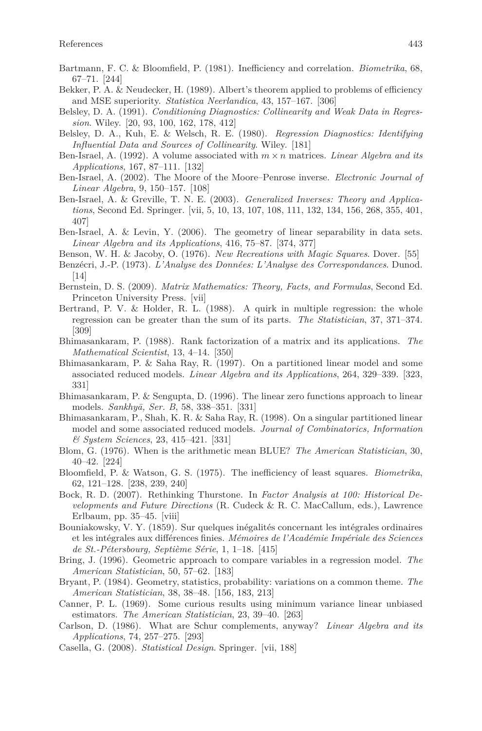- Bartmann, F. C. & Bloomfield, P. (1981). Inefficiency and correlation. *Biometrika*, 68, 67–71. [244]
- Bekker, P. A. & Neudecker, H. (1989). Albert's theorem applied to problems of efficiency and MSE superiority. *Statistica Neerlandica*, 43, 157–167. [306]
- Belsley, D. A. (1991). *Conditioning Diagnostics: Collinearity and Weak Data in Regression*. Wiley. [20, 93, 100, 162, 178, 412]
- Belsley, D. A., Kuh, E. & Welsch, R. E. (1980). *Regression Diagnostics: Identifying Influential Data and Sources of Collinearity*. Wiley. [181]
- Ben-Israel, A. (1992). A volume associated with *m* × *n* matrices. *Linear Algebra and its Applications*, 167, 87–111. [132]
- Ben-Israel, A. (2002). The Moore of the Moore–Penrose inverse. *Electronic Journal of Linear Algebra*, 9, 150–157. [108]
- Ben-Israel, A. & Greville, T. N. E. (2003). *Generalized Inverses: Theory and Applications*, Second Ed. Springer. [vii, 5, 10, 13, 107, 108, 111, 132, 134, 156, 268, 355, 401, 407]
- Ben-Israel, A. & Levin, Y. (2006). The geometry of linear separability in data sets. *Linear Algebra and its Applications*, 416, 75–87. [374, 377]
- Benson, W. H. & Jacoby, O. (1976). *New Recreations with Magic Squares*. Dover. [55]
- Benzécri, J.-P. (1973). *L'Analyse des Données: L'Analyse des Correspondances*. Dunod. [14]
- Bernstein, D. S. (2009). *Matrix Mathematics: Theory, Facts, and Formulas*, Second Ed. Princeton University Press. [vii]
- Bertrand, P. V. & Holder, R. L. (1988). A quirk in multiple regression: the whole regression can be greater than the sum of its parts. *The Statistician*, 37, 371–374. [309]
- Bhimasankaram, P. (1988). Rank factorization of a matrix and its applications. *The Mathematical Scientist*, 13, 4–14. [350]
- Bhimasankaram, P. & Saha Ray, R. (1997). On a partitioned linear model and some associated reduced models. *Linear Algebra and its Applications*, 264, 329–339. [323, 331]
- Bhimasankaram, P. & Sengupta, D. (1996). The linear zero functions approach to linear models. *Sankhy¯a, Ser. B*, 58, 338–351. [331]
- Bhimasankaram, P., Shah, K. R. & Saha Ray, R. (1998). On a singular partitioned linear model and some associated reduced models. *Journal of Combinatorics, Information & System Sciences*, 23, 415–421. [331]
- Blom, G. (1976). When is the arithmetic mean BLUE? *The American Statistician*, 30, 40–42. [224]
- Bloomfield, P. & Watson, G. S. (1975). The inefficiency of least squares. *Biometrika*, 62, 121–128. [238, 239, 240]
- Bock, R. D. (2007). Rethinking Thurstone. In *Factor Analysis at 100: Historical Developments and Future Directions* (R. Cudeck & R. C. MacCallum, eds.), Lawrence Erlbaum, pp. 35–45. [viii]
- Bouniakowsky, V. Y. (1859). Sur quelques inégalités concernant les intégrales ordinaires et les intégrales aux différences finies. *Mémoires de l'Académie Impériale des Sciences de St.-Pétersbourg, Septième Série*, 1, 1–18. [415]
- Bring, J. (1996). Geometric approach to compare variables in a regression model. *The American Statistician*, 50, 57–62. [183]
- Bryant, P. (1984). Geometry, statistics, probability: variations on a common theme. *The American Statistician*, 38, 38–48. [156, 183, 213]
- Canner, P. L. (1969). Some curious results using minimum variance linear unbiased estimators. *The American Statistician*, 23, 39–40. [263]
- Carlson, D. (1986). What are Schur complements, anyway? *Linear Algebra and its Applications*, 74, 257–275. [293]
- Casella, G. (2008). *Statistical Design*. Springer. [vii, 188]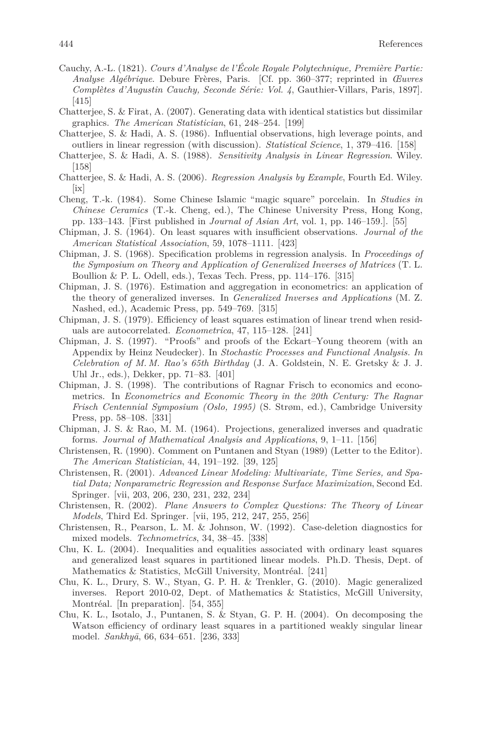- Cauchy, A.-L. (1821). *Cours d'Analyse de l'École Royale Polytechnique, Première Partie: Analyse Algébrique*. Debure Frères, Paris. [Cf. pp. 360–377; reprinted in *Œuvres Complètes d'Augustin Cauchy, Seconde Série: Vol. 4*, Gauthier-Villars, Paris, 1897]. [415]
- Chatterjee, S. & Firat, A. (2007). Generating data with identical statistics but dissimilar graphics. *The American Statistician*, 61, 248–254. [199]
- Chatterjee, S. & Hadi, A. S. (1986). Influential observations, high leverage points, and outliers in linear regression (with discussion). *Statistical Science*, 1, 379–416. [158]
- Chatterjee, S. & Hadi, A. S. (1988). *Sensitivity Analysis in Linear Regression*. Wiley. [158]
- Chatterjee, S. & Hadi, A. S. (2006). *Regression Analysis by Example*, Fourth Ed. Wiley. [ix]
- Cheng, T.-k. (1984). Some Chinese Islamic "magic square" porcelain. In *Studies in Chinese Ceramics* (T.-k. Cheng, ed.), The Chinese University Press, Hong Kong, pp. 133–143. [First published in *Journal of Asian Art*, vol. 1, pp. 146–159.]. [55]
- Chipman, J. S. (1964). On least squares with insufficient observations. *Journal of the American Statistical Association*, 59, 1078–1111. [423]
- Chipman, J. S. (1968). Specification problems in regression analysis. In *Proceedings of the Symposium on Theory and Application of Generalized Inverses of Matrices* (T. L. Boullion & P. L. Odell, eds.), Texas Tech. Press, pp. 114–176. [315]
- Chipman, J. S. (1976). Estimation and aggregation in econometrics: an application of the theory of generalized inverses. In *Generalized Inverses and Applications* (M. Z. Nashed, ed.), Academic Press, pp. 549–769. [315]
- Chipman, J. S. (1979). Efficiency of least squares estimation of linear trend when residuals are autocorrelated. *Econometrica*, 47, 115–128. [241]
- Chipman, J. S. (1997). "Proofs" and proofs of the Eckart–Young theorem (with an Appendix by Heinz Neudecker). In *Stochastic Processes and Functional Analysis. In Celebration of M. M. Rao's 65th Birthday* (J. A. Goldstein, N. E. Gretsky & J. J. Uhl Jr., eds.), Dekker, pp. 71–83. [401]
- Chipman, J. S. (1998). The contributions of Ragnar Frisch to economics and econometrics. In *Econometrics and Economic Theory in the 20th Century: The Ragnar Frisch Centennial Symposium (Oslo, 1995)* (S. Strøm, ed.), Cambridge University Press, pp. 58–108. [331]
- Chipman, J. S. & Rao, M. M. (1964). Projections, generalized inverses and quadratic forms. *Journal of Mathematical Analysis and Applications*, 9, 1–11. [156]
- Christensen, R. (1990). Comment on Puntanen and Styan (1989) (Letter to the Editor). *The American Statistician*, 44, 191–192. [39, 125]
- Christensen, R. (2001). *Advanced Linear Modeling: Multivariate, Time Series, and Spatial Data; Nonparametric Regression and Response Surface Maximization*, Second Ed. Springer. [vii, 203, 206, 230, 231, 232, 234]
- Christensen, R. (2002). *Plane Answers to Complex Questions: The Theory of Linear Models*, Third Ed. Springer. [vii, 195, 212, 247, 255, 256]
- Christensen, R., Pearson, L. M. & Johnson, W. (1992). Case-deletion diagnostics for mixed models. *Technometrics*, 34, 38–45. [338]
- Chu, K. L. (2004). Inequalities and equalities associated with ordinary least squares and generalized least squares in partitioned linear models. Ph.D. Thesis, Dept. of Mathematics & Statistics, McGill University, Montréal. [241]
- Chu, K. L., Drury, S. W., Styan, G. P. H. & Trenkler, G. (2010). Magic generalized inverses. Report 2010-02, Dept. of Mathematics & Statistics, McGill University, Montréal. [In preparation]. [54, 355]
- Chu, K. L., Isotalo, J., Puntanen, S. & Styan, G. P. H. (2004). On decomposing the Watson efficiency of ordinary least squares in a partitioned weakly singular linear model. *Sankhy¯a*, 66, 634–651. [236, 333]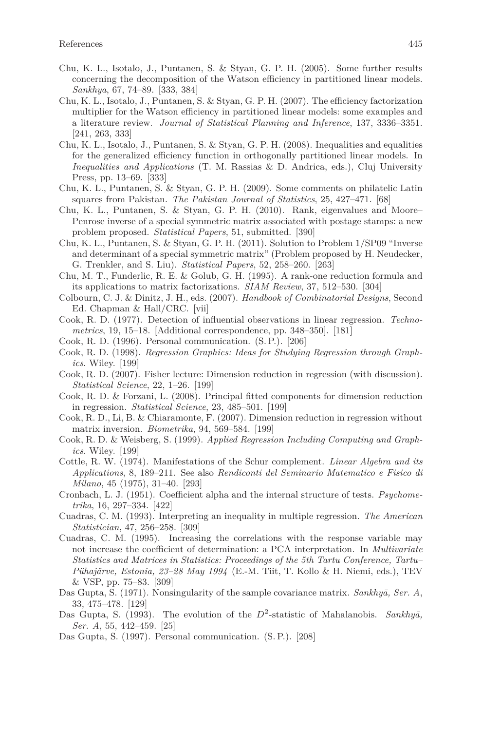- Chu, K. L., Isotalo, J., Puntanen, S. & Styan, G. P. H. (2005). Some further results concerning the decomposition of the Watson efficiency in partitioned linear models. *Sankhy¯a*, 67, 74–89. [333, 384]
- Chu, K. L., Isotalo, J., Puntanen, S. & Styan, G. P. H. (2007). The efficiency factorization multiplier for the Watson efficiency in partitioned linear models: some examples and a literature review. *Journal of Statistical Planning and Inference*, 137, 3336–3351. [241, 263, 333]
- Chu, K. L., Isotalo, J., Puntanen, S. & Styan, G. P. H. (2008). Inequalities and equalities for the generalized efficiency function in orthogonally partitioned linear models. In *Inequalities and Applications* (T. M. Rassias & D. Andrica, eds.), Cluj University Press, pp. 13–69. [333]
- Chu, K. L., Puntanen, S. & Styan, G. P. H. (2009). Some comments on philatelic Latin squares from Pakistan. *The Pakistan Journal of Statistics*, 25, 427–471. [68]
- Chu, K. L., Puntanen, S. & Styan, G. P. H. (2010). Rank, eigenvalues and Moore– Penrose inverse of a special symmetric matrix associated with postage stamps: a new problem proposed. *Statistical Papers*, 51, submitted. [390]
- Chu, K. L., Puntanen, S. & Styan, G. P. H. (2011). Solution to Problem 1/SP09 "Inverse and determinant of a special symmetric matrix" (Problem proposed by H. Neudecker, G. Trenkler, and S. Liu). *Statistical Papers*, 52, 258–260. [263]
- Chu, M. T., Funderlic, R. E. & Golub, G. H. (1995). A rank-one reduction formula and its applications to matrix factorizations. *SIAM Review*, 37, 512–530. [304]
- Colbourn, C. J. & Dinitz, J. H., eds. (2007). *Handbook of Combinatorial Designs*, Second Ed. Chapman & Hall/CRC. [vii]
- Cook, R. D. (1977). Detection of influential observations in linear regression. *Technometrics*, 19, 15–18. [Additional correspondence, pp. 348–350]. [181]
- Cook, R. D. (1996). Personal communication. (S. P.). [206]
- Cook, R. D. (1998). *Regression Graphics: Ideas for Studying Regression through Graphics*. Wiley. [199]
- Cook, R. D. (2007). Fisher lecture: Dimension reduction in regression (with discussion). *Statistical Science*, 22, 1–26. [199]
- Cook, R. D. & Forzani, L. (2008). Principal fitted components for dimension reduction in regression. *Statistical Science*, 23, 485–501. [199]
- Cook, R. D., Li, B. & Chiaramonte, F. (2007). Dimension reduction in regression without matrix inversion. *Biometrika*, 94, 569–584. [199]
- Cook, R. D. & Weisberg, S. (1999). *Applied Regression Including Computing and Graphics*. Wiley. [199]
- Cottle, R. W. (1974). Manifestations of the Schur complement. *Linear Algebra and its Applications*, 8, 189–211. See also *Rendiconti del Seminario Matematico e Fisico di Milano*, 45 (1975), 31–40. [293]
- Cronbach, L. J. (1951). Coefficient alpha and the internal structure of tests. *Psychometrika*, 16, 297–334. [422]
- Cuadras, C. M. (1993). Interpreting an inequality in multiple regression. *The American Statistician*, 47, 256–258. [309]
- Cuadras, C. M. (1995). Increasing the correlations with the response variable may not increase the coefficient of determination: a PCA interpretation. In *Multivariate Statistics and Matrices in Statistics: Proceedings of the 5th Tartu Conference, Tartu– Pühajärve, Estonia, 23–28 May 1994* (E.-M. Tiit, T. Kollo & H. Niemi, eds.), TEV & VSP, pp. 75–83. [309]
- Das Gupta, S. (1971). Nonsingularity of the sample covariance matrix. *Sankhyā*, Ser. A, 33, 475–478. [129]
- Das Gupta, S. (1993). The evolution of the  $D^2$ -statistic of Mahalanobis. *Sankhya*, *Ser. A*, 55, 442–459. [25]
- Das Gupta, S. (1997). Personal communication. (S. P.). [208]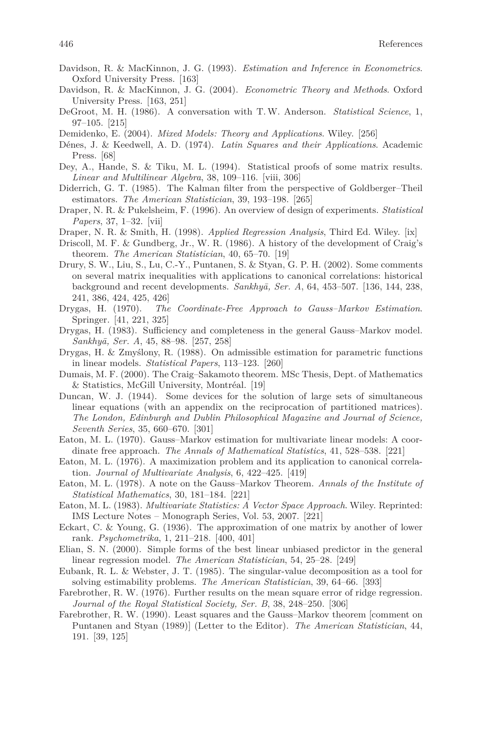- Davidson, R. & MacKinnon, J. G. (1993). *Estimation and Inference in Econometrics*. Oxford University Press. [163]
- Davidson, R. & MacKinnon, J. G. (2004). *Econometric Theory and Methods*. Oxford University Press. [163, 251]
- DeGroot, M. H. (1986). A conversation with T.W. Anderson. *Statistical Science*, 1, 97–105. [215]
- Demidenko, E. (2004). *Mixed Models: Theory and Applications*. Wiley. [256]
- Dénes, J. & Keedwell, A. D. (1974). *Latin Squares and their Applications*. Academic Press. [68]
- Dey, A., Hande, S. & Tiku, M. L. (1994). Statistical proofs of some matrix results. *Linear and Multilinear Algebra*, 38, 109–116. [viii, 306]
- Diderrich, G. T. (1985). The Kalman filter from the perspective of Goldberger–Theil estimators. *The American Statistician*, 39, 193–198. [265]
- Draper, N. R. & Pukelsheim, F. (1996). An overview of design of experiments. *Statistical Papers*, 37, 1–32. [vii]
- Draper, N. R. & Smith, H. (1998). *Applied Regression Analysis*, Third Ed. Wiley. [ix]
- Driscoll, M. F. & Gundberg, Jr., W. R. (1986). A history of the development of Craig's theorem. *The American Statistician*, 40, 65–70. [19]
- Drury, S. W., Liu, S., Lu, C.-Y., Puntanen, S. & Styan, G. P. H. (2002). Some comments on several matrix inequalities with applications to canonical correlations: historical background and recent developments. *Sankhy¯a, Ser. A*, 64, 453–507. [136, 144, 238, 241, 386, 424, 425, 426]
- Drygas, H. (1970). *The Coordinate-Free Approach to Gauss–Markov Estimation*. Springer. [41, 221, 325]
- Drygas, H. (1983). Sufficiency and completeness in the general Gauss–Markov model. *Sankhy¯a, Ser. A*, 45, 88–98. [257, 258]
- Drygas, H. & Zmyślony, R. (1988). On admissible estimation for parametric functions in linear models. *Statistical Papers*, 113–123. [260]
- Dumais, M. F. (2000). The Craig–Sakamoto theorem. MSc Thesis, Dept. of Mathematics & Statistics, McGill University, Montréal. [19]
- Duncan, W. J. (1944). Some devices for the solution of large sets of simultaneous linear equations (with an appendix on the reciprocation of partitioned matrices). *The London, Edinburgh and Dublin Philosophical Magazine and Journal of Science, Seventh Series*, 35, 660–670. [301]
- Eaton, M. L. (1970). Gauss–Markov estimation for multivariate linear models: A coordinate free approach. *The Annals of Mathematical Statistics*, 41, 528–538. [221]
- Eaton, M. L. (1976). A maximization problem and its application to canonical correlation. *Journal of Multivariate Analysis*, 6, 422–425. [419]
- Eaton, M. L. (1978). A note on the Gauss–Markov Theorem. *Annals of the Institute of Statistical Mathematics*, 30, 181–184. [221]
- Eaton, M. L. (1983). *Multivariate Statistics: A Vector Space Approach*. Wiley. Reprinted: IMS Lecture Notes – Monograph Series, Vol. 53, 2007. [221]
- Eckart, C. & Young, G. (1936). The approximation of one matrix by another of lower rank. *Psychometrika*, 1, 211–218. [400, 401]
- Elian, S. N. (2000). Simple forms of the best linear unbiased predictor in the general linear regression model. *The American Statistician*, 54, 25–28. [249]
- Eubank, R. L. & Webster, J. T. (1985). The singular-value decomposition as a tool for solving estimability problems. *The American Statistician*, 39, 64–66. [393]
- Farebrother, R. W. (1976). Further results on the mean square error of ridge regression. *Journal of the Royal Statistical Society, Ser. B*, 38, 248–250. [306]
- Farebrother, R. W. (1990). Least squares and the Gauss–Markov theorem [comment on Puntanen and Styan (1989)] (Letter to the Editor). *The American Statistician*, 44, 191. [39, 125]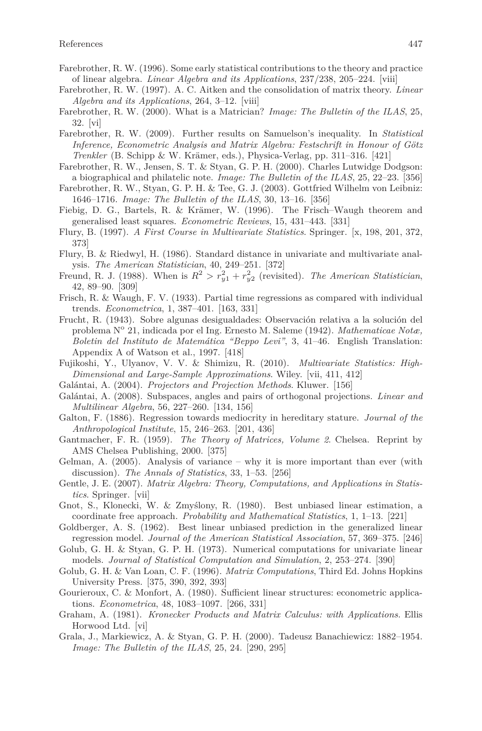- Farebrother, R. W. (1996). Some early statistical contributions to the theory and practice of linear algebra. *Linear Algebra and its Applications*, 237/238, 205–224. [viii]
- Farebrother, R. W. (1997). A. C. Aitken and the consolidation of matrix theory. *Linear Algebra and its Applications*, 264, 3–12. [viii]
- Farebrother, R. W. (2000). What is a Matrician? *Image: The Bulletin of the ILAS*, 25, 32. [vi]
- Farebrother, R. W. (2009). Further results on Samuelson's inequality. In *Statistical Inference, Econometric Analysis and Matrix Algebra: Festschrift in Honour of Götz Trenkler* (B. Schipp & W. Krämer, eds.), Physica-Verlag, pp. 311–316. [421]
- Farebrother, R. W., Jensen, S. T. & Styan, G. P. H. (2000). Charles Lutwidge Dodgson: a biographical and philatelic note. *Image: The Bulletin of the ILAS*, 25, 22–23. [356]
- Farebrother, R. W., Styan, G. P. H. & Tee, G. J. (2003). Gottfried Wilhelm von Leibniz: 1646–1716. *Image: The Bulletin of the ILAS*, 30, 13–16. [356]
- Fiebig, D. G., Bartels, R. & Krämer, W. (1996). The Frisch–Waugh theorem and generalised least squares. *Econometric Reviews*, 15, 431–443. [331]
- Flury, B. (1997). *A First Course in Multivariate Statistics*. Springer. [x, 198, 201, 372, 373]
- Flury, B. & Riedwyl, H. (1986). Standard distance in univariate and multivariate analysis. *The American Statistician*, 40, 249–251. [372]
- Freund, R. J. (1988). When is  $R^2 > r_{y1}^2 + r_{y2}^2$  (revisited). *The American Statistician*, 42, 89–90. [309]
- Frisch, R. & Waugh, F. V. (1933). Partial time regressions as compared with individual trends. *Econometrica*, 1, 387–401. [163, 331]
- Frucht, R. (1943). Sobre algunas desigualdades: Observación relativa a la solución del problema N<sup>o</sup> 21, indicada por el Ing. Ernesto M. Saleme (1942). *Mathematicae Notæ*, *Boletin del Instituto de Matemática "Beppo Levi"*, 3, 41–46. English Translation: Appendix A of Watson et al., 1997. [418]
- Fujikoshi, Y., Ulyanov, V. V. & Shimizu, R. (2010). *Multivariate Statistics: High-Dimensional and Large-Sample Approximations*. Wiley. [vii, 411, 412]
- Galántai, A. (2004). *Projectors and Projection Methods*. Kluwer. [156]
- Galántai, A. (2008). Subspaces, angles and pairs of orthogonal projections. *Linear and Multilinear Algebra*, 56, 227–260. [134, 156]
- Galton, F. (1886). Regression towards mediocrity in hereditary stature. *Journal of the Anthropological Institute*, 15, 246–263. [201, 436]
- Gantmacher, F. R. (1959). *The Theory of Matrices, Volume 2*. Chelsea. Reprint by AMS Chelsea Publishing, 2000. [375]
- Gelman, A. (2005). Analysis of variance why it is more important than ever (with discussion). *The Annals of Statistics*, 33, 1–53. [256]
- Gentle, J. E. (2007). *Matrix Algebra: Theory, Computations, and Applications in Statistics*. Springer. [vii]
- Gnot, S., Klonecki, W. & Zmyślony, R. (1980). Best unbiased linear estimation, a coordinate free approach. *Probability and Mathematical Statistics*, 1, 1–13. [221]
- Goldberger, A. S. (1962). Best linear unbiased prediction in the generalized linear regression model. *Journal of the American Statistical Association*, 57, 369–375. [246]
- Golub, G. H. & Styan, G. P. H. (1973). Numerical computations for univariate linear models. *Journal of Statistical Computation and Simulation*, 2, 253–274. [390]
- Golub, G. H. & Van Loan, C. F. (1996). *Matrix Computations*, Third Ed. Johns Hopkins University Press. [375, 390, 392, 393]
- Gourieroux, C. & Monfort, A. (1980). Sufficient linear structures: econometric applications. *Econometrica*, 48, 1083–1097. [266, 331]
- Graham, A. (1981). *Kronecker Products and Matrix Calculus: with Applications*. Ellis Horwood Ltd. [vi]
- Grala, J., Markiewicz, A. & Styan, G. P. H. (2000). Tadeusz Banachiewicz: 1882–1954. *Image: The Bulletin of the ILAS*, 25, 24. [290, 295]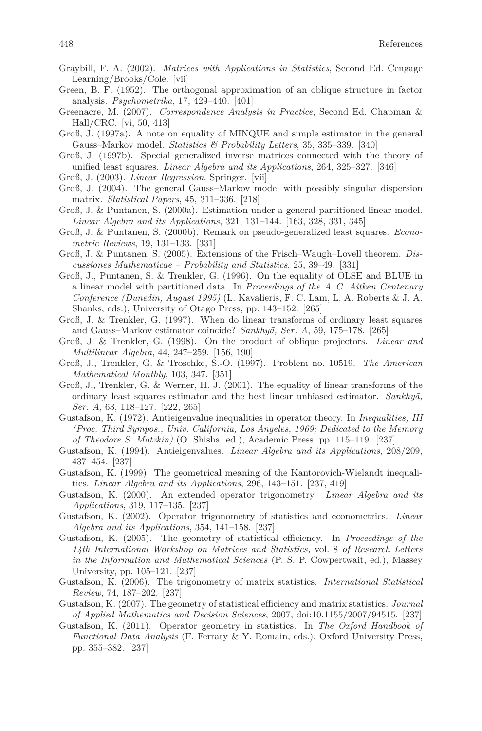- Graybill, F. A. (2002). *Matrices with Applications in Statistics*, Second Ed. Cengage Learning/Brooks/Cole. [vii]
- Green, B. F. (1952). The orthogonal approximation of an oblique structure in factor analysis. *Psychometrika*, 17, 429–440. [401]
- Greenacre, M. (2007). *Correspondence Analysis in Practice*, Second Ed. Chapman & Hall/CRC. [vi, 50, 413]
- Groß, J. (1997a). A note on equality of MINQUE and simple estimator in the general Gauss–Markov model. *Statistics & Probability Letters*, 35, 335–339. [340]
- Groß, J. (1997b). Special generalized inverse matrices connected with the theory of unified least squares. *Linear Algebra and its Applications*, 264, 325–327. [346]
- Groß, J. (2003). *Linear Regression*. Springer. [vii]
- Groß, J. (2004). The general Gauss–Markov model with possibly singular dispersion matrix. *Statistical Papers*, 45, 311–336. [218]
- Groß, J. & Puntanen, S. (2000a). Estimation under a general partitioned linear model. *Linear Algebra and its Applications*, 321, 131–144. [163, 328, 331, 345]
- Groß, J. & Puntanen, S. (2000b). Remark on pseudo-generalized least squares. *Econometric Reviews*, 19, 131–133. [331]
- Groß, J. & Puntanen, S. (2005). Extensions of the Frisch–Waugh–Lovell theorem. *Discussiones Mathematicae – Probability and Statistics*, 25, 39–49. [331]
- Groß, J., Puntanen, S. & Trenkler, G. (1996). On the equality of OLSE and BLUE in a linear model with partitioned data. In *Proceedings of the A. C. Aitken Centenary Conference (Dunedin, August 1995)* (L. Kavalieris, F. C. Lam, L. A. Roberts & J. A. Shanks, eds.), University of Otago Press, pp. 143–152. [265]
- Groß, J. & Trenkler, G. (1997). When do linear transforms of ordinary least squares and Gauss–Markov estimator coincide? Sankhyā, Ser. A, 59, 175–178. [265]
- Groß, J. & Trenkler, G. (1998). On the product of oblique projectors. *Linear and Multilinear Algebra*, 44, 247–259. [156, 190]
- Groß, J., Trenkler, G. & Troschke, S.-O. (1997). Problem no. 10519. *The American Mathematical Monthly*, 103, 347. [351]
- Groß, J., Trenkler, G. & Werner, H. J. (2001). The equality of linear transforms of the ordinary least squares estimator and the best linear unbiased estimator. Sankhya, *Ser. A*, 63, 118–127. [222, 265]
- Gustafson, K. (1972). Antieigenvalue inequalities in operator theory. In *Inequalities, III (Proc. Third Sympos., Univ. California, Los Angeles, 1969; Dedicated to the Memory of Theodore S. Motzkin)* (O. Shisha, ed.), Academic Press, pp. 115–119. [237]
- Gustafson, K. (1994). Antieigenvalues. *Linear Algebra and its Applications*, 208/209, 437–454. [237]
- Gustafson, K. (1999). The geometrical meaning of the Kantorovich-Wielandt inequalities. *Linear Algebra and its Applications*, 296, 143–151. [237, 419]
- Gustafson, K. (2000). An extended operator trigonometry. *Linear Algebra and its Applications*, 319, 117–135. [237]
- Gustafson, K. (2002). Operator trigonometry of statistics and econometrics. *Linear Algebra and its Applications*, 354, 141–158. [237]
- Gustafson, K. (2005). The geometry of statistical efficiency. In *Proceedings of the 14th International Workshop on Matrices and Statistics,* vol. 8 *of Research Letters in the Information and Mathematical Sciences* (P. S. P. Cowpertwait, ed.), Massey University, pp. 105–121. [237]
- Gustafson, K. (2006). The trigonometry of matrix statistics. *International Statistical Review*, 74, 187–202. [237]
- Gustafson, K. (2007). The geometry of statistical efficiency and matrix statistics. *Journal of Applied Mathematics and Decision Sciences*, 2007, doi:10.1155/2007/94515. [237]
- Gustafson, K. (2011). Operator geometry in statistics. In *The Oxford Handbook of Functional Data Analysis* (F. Ferraty & Y. Romain, eds.), Oxford University Press, pp. 355–382. [237]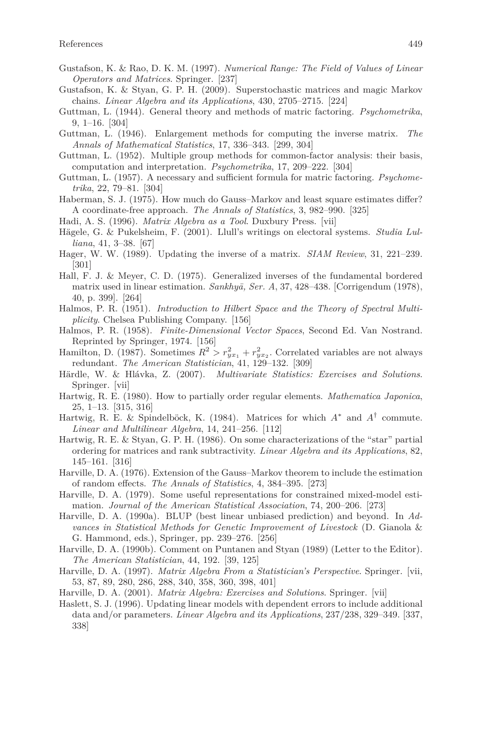- Gustafson, K. & Rao, D. K. M. (1997). *Numerical Range: The Field of Values of Linear Operators and Matrices*. Springer. [237]
- Gustafson, K. & Styan, G. P. H. (2009). Superstochastic matrices and magic Markov chains. *Linear Algebra and its Applications*, 430, 2705–2715. [224]
- Guttman, L. (1944). General theory and methods of matric factoring. *Psychometrika*, 9, 1–16. [304]
- Guttman, L. (1946). Enlargement methods for computing the inverse matrix. *The Annals of Mathematical Statistics*, 17, 336–343. [299, 304]
- Guttman, L. (1952). Multiple group methods for common-factor analysis: their basis, computation and interpretation. *Psychometrika*, 17, 209–222. [304]
- Guttman, L. (1957). A necessary and sufficient formula for matric factoring. *Psychometrika*, 22, 79–81. [304]
- Haberman, S. J. (1975). How much do Gauss–Markov and least square estimates differ? A coordinate-free approach. *The Annals of Statistics*, 3, 982–990. [325]
- Hadi, A. S. (1996). *Matrix Algebra as a Tool*. Duxbury Press. [vii]
- Hägele, G. & Pukelsheim, F. (2001). Llull's writings on electoral systems. *Studia Lulliana*, 41, 3–38. [67]
- Hager, W. W. (1989). Updating the inverse of a matrix. *SIAM Review*, 31, 221–239. [301]
- Hall, F. J. & Meyer, C. D. (1975). Generalized inverses of the fundamental bordered matrix used in linear estimation. *Sankhyā*, *Ser. A*, 37, 428–438. [Corrigendum (1978), 40, p. 399]. [264]
- Halmos, P. R. (1951). *Introduction to Hilbert Space and the Theory of Spectral Multiplicity*. Chelsea Publishing Company. [156]
- Halmos, P. R. (1958). *Finite-Dimensional Vector Spaces*, Second Ed. Van Nostrand. Reprinted by Springer, 1974. [156]
- Hamilton, D. (1987). Sometimes  $R^2 > r_{yx_1}^2 + r_{yx_2}^2$ . Correlated variables are not always redundant. *The American Statistician*, 41, 129–132. [309]
- Härdle, W. & Hlávka, Z. (2007). *Multivariate Statistics: Exercises and Solutions*. Springer. [vii]
- Hartwig, R. E. (1980). How to partially order regular elements. *Mathematica Japonica*, 25, 1–13. [315, 316]
- Hartwig, R. E. & Spindelböck, K. (1984). Matrices for which  $A^*$  and  $A^{\dagger}$  commute. *Linear and Multilinear Algebra*, 14, 241–256. [112]
- Hartwig, R. E. & Styan, G. P. H. (1986). On some characterizations of the "star" partial ordering for matrices and rank subtractivity. *Linear Algebra and its Applications*, 82, 145–161. [316]
- Harville, D. A. (1976). Extension of the Gauss–Markov theorem to include the estimation of random effects. *The Annals of Statistics*, 4, 384–395. [273]
- Harville, D. A. (1979). Some useful representations for constrained mixed-model estimation. *Journal of the American Statistical Association*, 74, 200–206. [273]
- Harville, D. A. (1990a). BLUP (best linear unbiased prediction) and beyond. In *Advances in Statistical Methods for Genetic Improvement of Livestock* (D. Gianola & G. Hammond, eds.), Springer, pp. 239–276. [256]
- Harville, D. A. (1990b). Comment on Puntanen and Styan (1989) (Letter to the Editor). *The American Statistician*, 44, 192. [39, 125]
- Harville, D. A. (1997). *Matrix Algebra From a Statistician's Perspective*. Springer. [vii, 53, 87, 89, 280, 286, 288, 340, 358, 360, 398, 401]
- Harville, D. A. (2001). *Matrix Algebra: Exercises and Solutions*. Springer. [vii]
- Haslett, S. J. (1996). Updating linear models with dependent errors to include additional data and/or parameters. *Linear Algebra and its Applications*, 237/238, 329–349. [337, 338]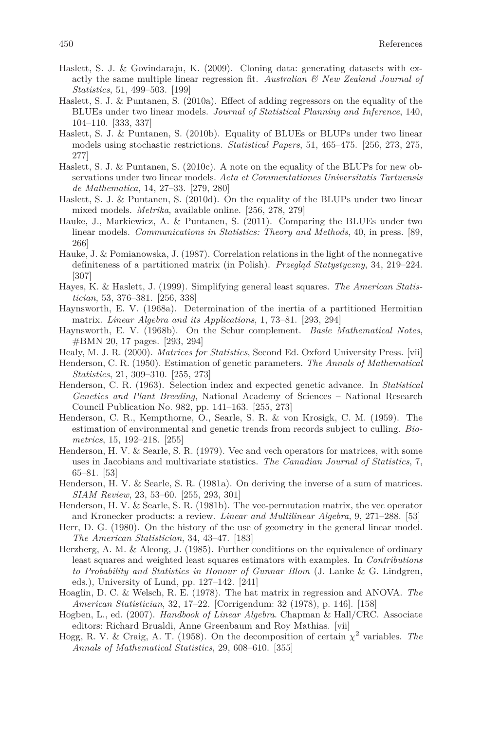- Haslett, S. J. & Govindaraju, K. (2009). Cloning data: generating datasets with exactly the same multiple linear regression fit. *Australian & New Zealand Journal of Statistics*, 51, 499–503. [199]
- Haslett, S. J. & Puntanen, S. (2010a). Effect of adding regressors on the equality of the BLUEs under two linear models. *Journal of Statistical Planning and Inference*, 140, 104–110. [333, 337]
- Haslett, S. J. & Puntanen, S. (2010b). Equality of BLUEs or BLUPs under two linear models using stochastic restrictions. *Statistical Papers*, 51, 465–475. [256, 273, 275, 277]
- Haslett, S. J. & Puntanen, S. (2010c). A note on the equality of the BLUPs for new observations under two linear models. *Acta et Commentationes Universitatis Tartuensis de Mathematica*, 14, 27–33. [279, 280]
- Haslett, S. J. & Puntanen, S. (2010d). On the equality of the BLUPs under two linear mixed models. *Metrika*, available online. [256, 278, 279]
- Hauke, J., Markiewicz, A. & Puntanen, S. (2011). Comparing the BLUEs under two linear models. *Communications in Statistics: Theory and Methods*, 40, in press. [89, 266]
- Hauke, J. & Pomianowska, J. (1987). Correlation relations in the light of the nonnegative definiteness of a partitioned matrix (in Polish). *Przegląd Statystyczny*, 34, 219–224. [307]
- Hayes, K. & Haslett, J. (1999). Simplifying general least squares. *The American Statistician*, 53, 376–381. [256, 338]
- Haynsworth, E. V. (1968a). Determination of the inertia of a partitioned Hermitian matrix. *Linear Algebra and its Applications*, 1, 73–81. [293, 294]
- Haynsworth, E. V. (1968b). On the Schur complement. *Basle Mathematical Notes*, #BMN 20, 17 pages. [293, 294]
- Healy, M. J. R. (2000). *Matrices for Statistics*, Second Ed. Oxford University Press. [vii]
- Henderson, C. R. (1950). Estimation of genetic parameters. *The Annals of Mathematical Statistics*, 21, 309–310. [255, 273]
- Henderson, C. R. (1963). Selection index and expected genetic advance. In *Statistical Genetics and Plant Breeding*, National Academy of Sciences – National Research Council Publication No. 982, pp. 141–163. [255, 273]
- Henderson, C. R., Kempthorne, O., Searle, S. R. & von Krosigk, C. M. (1959). The estimation of environmental and genetic trends from records subject to culling. *Biometrics*, 15, 192–218. [255]
- Henderson, H. V. & Searle, S. R. (1979). Vec and vech operators for matrices, with some uses in Jacobians and multivariate statistics. *The Canadian Journal of Statistics*, 7, 65–81. [53]
- Henderson, H. V. & Searle, S. R. (1981a). On deriving the inverse of a sum of matrices. *SIAM Review*, 23, 53–60. [255, 293, 301]
- Henderson, H. V. & Searle, S. R. (1981b). The vec-permutation matrix, the vec operator and Kronecker products: a review. *Linear and Multilinear Algebra*, 9, 271–288. [53]
- Herr, D. G. (1980). On the history of the use of geometry in the general linear model. *The American Statistician*, 34, 43–47. [183]
- Herzberg, A. M. & Aleong, J. (1985). Further conditions on the equivalence of ordinary least squares and weighted least squares estimators with examples. In *Contributions to Probability and Statistics in Honour of Gunnar Blom* (J. Lanke & G. Lindgren, eds.), University of Lund, pp. 127–142. [241]
- Hoaglin, D. C. & Welsch, R. E. (1978). The hat matrix in regression and ANOVA. *The American Statistician*, 32, 17–22. [Corrigendum: 32 (1978), p. 146]. [158]
- Hogben, L., ed. (2007). *Handbook of Linear Algebra*. Chapman & Hall/CRC. Associate editors: Richard Brualdi, Anne Greenbaum and Roy Mathias. [vii]
- Hogg, R. V. & Craig, A. T. (1958). On the decomposition of certain  $\chi^2$  variables. The *Annals of Mathematical Statistics*, 29, 608–610. [355]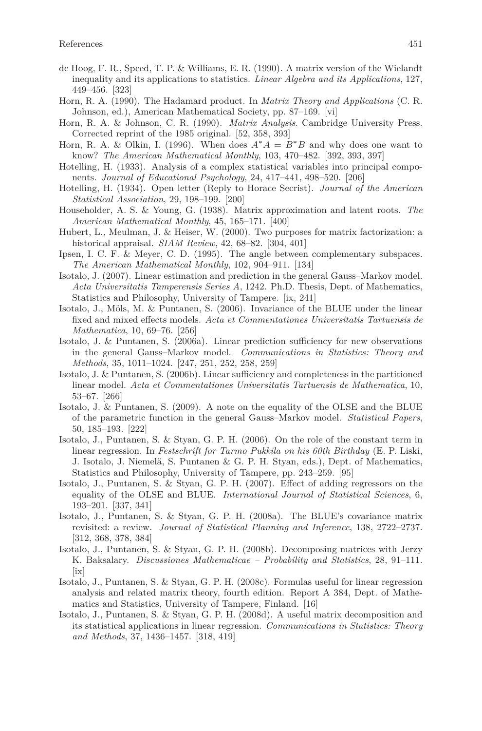- de Hoog, F. R., Speed, T. P. & Williams, E. R. (1990). A matrix version of the Wielandt inequality and its applications to statistics. *Linear Algebra and its Applications*, 127, 449–456. [323]
- Horn, R. A. (1990). The Hadamard product. In *Matrix Theory and Applications* (C. R. Johnson, ed.), American Mathematical Society, pp. 87–169. [vi]
- Horn, R. A. & Johnson, C. R. (1990). *Matrix Analysis*. Cambridge University Press. Corrected reprint of the 1985 original. [52, 358, 393]
- Horn, R. A. & Olkin, I. (1996). When does  $A^*A = B^*B$  and why does one want to know? *The American Mathematical Monthly*, 103, 470–482. [392, 393, 397]
- Hotelling, H. (1933). Analysis of a complex statistical variables into principal components. *Journal of Educational Psychology*, 24, 417–441, 498–520. [206]
- Hotelling, H. (1934). Open letter (Reply to Horace Secrist). *Journal of the American Statistical Association*, 29, 198–199. [200]
- Householder, A. S. & Young, G. (1938). Matrix approximation and latent roots. *The American Mathematical Monthly*, 45, 165–171. [400]
- Hubert, L., Meulman, J. & Heiser, W. (2000). Two purposes for matrix factorization: a historical appraisal. *SIAM Review*, 42, 68–82. [304, 401]
- Ipsen, I. C. F. & Meyer, C. D. (1995). The angle between complementary subspaces. *The American Mathematical Monthly*, 102, 904–911. [134]
- Isotalo, J. (2007). Linear estimation and prediction in the general Gauss–Markov model. *Acta Universitatis Tamperensis Series A*, 1242. Ph.D. Thesis, Dept. of Mathematics, Statistics and Philosophy, University of Tampere. [ix, 241]
- Isotalo, J., Möls, M. & Puntanen, S. (2006). Invariance of the BLUE under the linear fixed and mixed effects models. *Acta et Commentationes Universitatis Tartuensis de Mathematica*, 10, 69–76. [256]
- Isotalo, J. & Puntanen, S. (2006a). Linear prediction sufficiency for new observations in the general Gauss–Markov model. *Communications in Statistics: Theory and Methods*, 35, 1011–1024. [247, 251, 252, 258, 259]
- Isotalo, J. & Puntanen, S. (2006b). Linear sufficiency and completeness in the partitioned linear model. *Acta et Commentationes Universitatis Tartuensis de Mathematica*, 10, 53–67. [266]
- Isotalo, J. & Puntanen, S. (2009). A note on the equality of the OLSE and the BLUE of the parametric function in the general Gauss–Markov model. *Statistical Papers*, 50, 185–193. [222]
- Isotalo, J., Puntanen, S. & Styan, G. P. H. (2006). On the role of the constant term in linear regression. In *Festschrift for Tarmo Pukkila on his 60th Birthday* (E. P. Liski, J. Isotalo, J. Niemelä, S. Puntanen & G. P. H. Styan, eds.), Dept. of Mathematics, Statistics and Philosophy, University of Tampere, pp. 243–259. [95]
- Isotalo, J., Puntanen, S. & Styan, G. P. H. (2007). Effect of adding regressors on the equality of the OLSE and BLUE. *International Journal of Statistical Sciences*, 6, 193–201. [337, 341]
- Isotalo, J., Puntanen, S. & Styan, G. P. H. (2008a). The BLUE's covariance matrix revisited: a review. *Journal of Statistical Planning and Inference*, 138, 2722–2737. [312, 368, 378, 384]
- Isotalo, J., Puntanen, S. & Styan, G. P. H. (2008b). Decomposing matrices with Jerzy K. Baksalary. *Discussiones Mathematicae – Probability and Statistics*, 28, 91–111. [ix]
- Isotalo, J., Puntanen, S. & Styan, G. P. H. (2008c). Formulas useful for linear regression analysis and related matrix theory, fourth edition. Report A 384, Dept. of Mathematics and Statistics, University of Tampere, Finland. [16]
- Isotalo, J., Puntanen, S. & Styan, G. P. H. (2008d). A useful matrix decomposition and its statistical applications in linear regression. *Communications in Statistics: Theory and Methods*, 37, 1436–1457. [318, 419]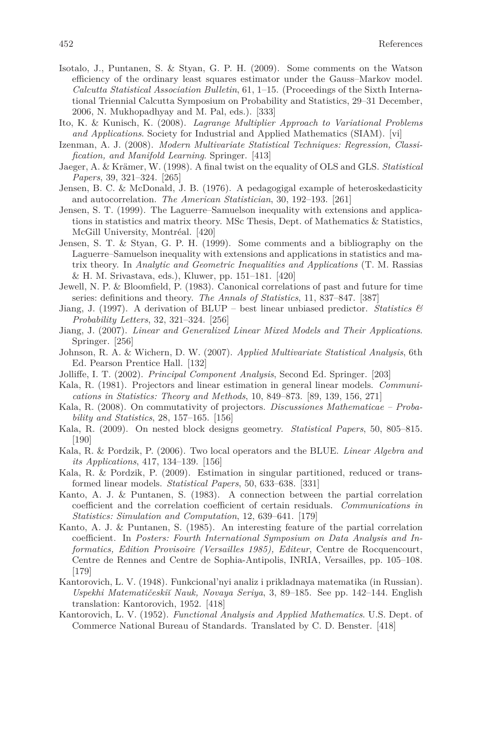- Isotalo, J., Puntanen, S. & Styan, G. P. H. (2009). Some comments on the Watson efficiency of the ordinary least squares estimator under the Gauss–Markov model. *Calcutta Statistical Association Bulletin*, 61, 1–15. (Proceedings of the Sixth International Triennial Calcutta Symposium on Probability and Statistics, 29–31 December, 2006, N. Mukhopadhyay and M. Pal, eds.). [333]
- Ito, K. & Kunisch, K. (2008). *Lagrange Multiplier Approach to Variational Problems and Applications*. Society for Industrial and Applied Mathematics (SIAM). [vi]
- Izenman, A. J. (2008). *Modern Multivariate Statistical Techniques: Regression, Classification, and Manifold Learning*. Springer. [413]
- Jaeger, A. & Krämer, W. (1998). A final twist on the equality of OLS and GLS. *Statistical Papers*, 39, 321–324. [265]
- Jensen, B. C. & McDonald, J. B. (1976). A pedagogigal example of heteroskedasticity and autocorrelation. *The American Statistician*, 30, 192–193. [261]
- Jensen, S. T. (1999). The Laguerre–Samuelson inequality with extensions and applications in statistics and matrix theory. MSc Thesis, Dept. of Mathematics & Statistics, McGill University, Montréal. [420]
- Jensen, S. T. & Styan, G. P. H. (1999). Some comments and a bibliography on the Laguerre–Samuelson inequality with extensions and applications in statistics and matrix theory. In *Analytic and Geometric Inequalities and Applications* (T. M. Rassias & H. M. Srivastava, eds.), Kluwer, pp. 151–181. [420]
- Jewell, N. P. & Bloomfield, P. (1983). Canonical correlations of past and future for time series: definitions and theory. *The Annals of Statistics*, 11, 837–847. [387]
- Jiang, J. (1997). A derivation of BLUP best linear unbiased predictor. *Statistics & Probability Letters*, 32, 321–324. [256]
- Jiang, J. (2007). *Linear and Generalized Linear Mixed Models and Their Applications*. Springer. [256]
- Johnson, R. A. & Wichern, D. W. (2007). *Applied Multivariate Statistical Analysis*, 6th Ed. Pearson Prentice Hall. [132]
- Jolliffe, I. T. (2002). *Principal Component Analysis*, Second Ed. Springer. [203]
- Kala, R. (1981). Projectors and linear estimation in general linear models. *Communications in Statistics: Theory and Methods*, 10, 849–873. [89, 139, 156, 271]
- Kala, R. (2008). On commutativity of projectors. *Discussiones Mathematicae Probability and Statistics*, 28, 157–165. [156]
- Kala, R. (2009). On nested block designs geometry. *Statistical Papers*, 50, 805–815. [190]
- Kala, R. & Pordzik, P. (2006). Two local operators and the BLUE. *Linear Algebra and its Applications*, 417, 134–139. [156]
- Kala, R. & Pordzik, P. (2009). Estimation in singular partitioned, reduced or transformed linear models. *Statistical Papers*, 50, 633–638. [331]
- Kanto, A. J. & Puntanen, S. (1983). A connection between the partial correlation coefficient and the correlation coefficient of certain residuals. *Communications in Statistics: Simulation and Computation*, 12, 639–641. [179]
- Kanto, A. J. & Puntanen, S. (1985). An interesting feature of the partial correlation coefficient. In *Posters: Fourth International Symposium on Data Analysis and Informatics, Edition Provisoire (Versailles 1985), Editeur*, Centre de Rocquencourt, Centre de Rennes and Centre de Sophia-Antipolis, INRIA, Versailles, pp. 105–108. [179]
- Kantorovich, L. V. (1948). Funkcional'nyi analiz i prikladnaya matematika (in Russian). *Uspekhi Matematičeski˘ı Nauk, Novaya Seriya*, 3, 89–185. See pp. 142–144. English translation: Kantorovich, 1952. [418]
- Kantorovich, L. V. (1952). *Functional Analysis and Applied Mathematics*. U.S. Dept. of Commerce National Bureau of Standards. Translated by C. D. Benster. [418]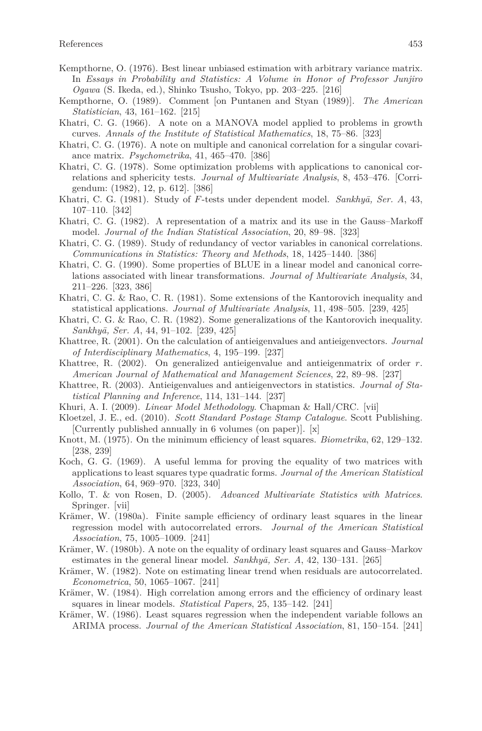- Kempthorne, O. (1976). Best linear unbiased estimation with arbitrary variance matrix. In *Essays in Probability and Statistics: A Volume in Honor of Professor Junjiro Ogawa* (S. Ikeda, ed.), Shinko Tsusho, Tokyo, pp. 203–225. [216]
- Kempthorne, O. (1989). Comment [on Puntanen and Styan (1989)]. *The American Statistician*, 43, 161–162. [215]
- Khatri, C. G. (1966). A note on a MANOVA model applied to problems in growth curves. *Annals of the Institute of Statistical Mathematics*, 18, 75–86. [323]
- Khatri, C. G. (1976). A note on multiple and canonical correlation for a singular covariance matrix. *Psychometrika*, 41, 465–470. [386]
- Khatri, C. G. (1978). Some optimization problems with applications to canonical correlations and sphericity tests. *Journal of Multivariate Analysis*, 8, 453–476. [Corrigendum: (1982), 12, p. 612]. [386]
- Khatri, C. G. (1981). Study of *F*-tests under dependent model. *Sankhyā*, Ser. A, 43, 107–110. [342]
- Khatri, C. G. (1982). A representation of a matrix and its use in the Gauss–Markoff model. *Journal of the Indian Statistical Association*, 20, 89–98. [323]
- Khatri, C. G. (1989). Study of redundancy of vector variables in canonical correlations. *Communications in Statistics: Theory and Methods*, 18, 1425–1440. [386]
- Khatri, C. G. (1990). Some properties of BLUE in a linear model and canonical correlations associated with linear transformations. *Journal of Multivariate Analysis*, 34, 211–226. [323, 386]
- Khatri, C. G. & Rao, C. R. (1981). Some extensions of the Kantorovich inequality and statistical applications. *Journal of Multivariate Analysis*, 11, 498–505. [239, 425]
- Khatri, C. G. & Rao, C. R. (1982). Some generalizations of the Kantorovich inequality. *Sankhy¯a, Ser. A*, 44, 91–102. [239, 425]
- Khattree, R. (2001). On the calculation of antieigenvalues and antieigenvectors. *Journal of Interdisciplinary Mathematics*, 4, 195–199. [237]
- Khattree, R. (2002). On generalized antieigenvalue and antieigenmatrix of order *r*. *American Journal of Mathematical and Management Sciences*, 22, 89–98. [237]
- Khattree, R. (2003). Antieigenvalues and antieigenvectors in statistics. *Journal of Statistical Planning and Inference*, 114, 131–144. [237]
- Khuri, A. I. (2009). *Linear Model Methodology*. Chapman & Hall/CRC. [vii]
- Kloetzel, J. E., ed. (2010). *Scott Standard Postage Stamp Catalogue*. Scott Publishing. [Currently published annually in 6 volumes (on paper)]. [x]
- Knott, M. (1975). On the minimum efficiency of least squares. *Biometrika*, 62, 129–132. [238, 239]
- Koch, G. G. (1969). A useful lemma for proving the equality of two matrices with applications to least squares type quadratic forms. *Journal of the American Statistical Association*, 64, 969–970. [323, 340]
- Kollo, T. & von Rosen, D. (2005). *Advanced Multivariate Statistics with Matrices*. Springer. [vii]
- Krämer, W. (1980a). Finite sample efficiency of ordinary least squares in the linear regression model with autocorrelated errors. *Journal of the American Statistical Association*, 75, 1005–1009. [241]
- Krämer, W. (1980b). A note on the equality of ordinary least squares and Gauss–Markov estimates in the general linear model.  $Sankhy\bar{a}$ , *Ser.* A, 42, 130–131. [265]
- Krämer, W. (1982). Note on estimating linear trend when residuals are autocorrelated. *Econometrica*, 50, 1065–1067. [241]
- Krämer, W. (1984). High correlation among errors and the efficiency of ordinary least squares in linear models. *Statistical Papers*, 25, 135–142. [241]
- Krämer, W. (1986). Least squares regression when the independent variable follows an ARIMA process. *Journal of the American Statistical Association*, 81, 150–154. [241]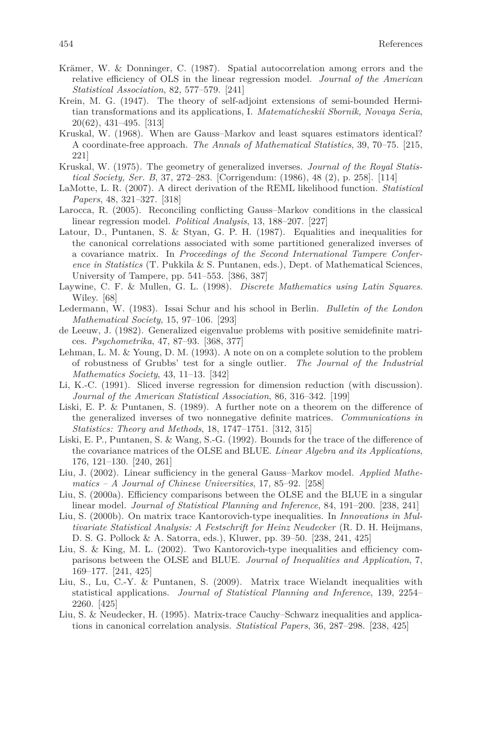- Krämer, W. & Donninger, C. (1987). Spatial autocorrelation among errors and the relative efficiency of OLS in the linear regression model. *Journal of the American Statistical Association*, 82, 577–579. [241]
- Krein, M. G. (1947). The theory of self-adjoint extensions of semi-bounded Hermitian transformations and its applications, I. *Matematicheskii Sbornik, Novaya Seria*, 20(62), 431–495. [313]
- Kruskal, W. (1968). When are Gauss–Markov and least squares estimators identical? A coordinate-free approach. *The Annals of Mathematical Statistics*, 39, 70–75. [215, 221]
- Kruskal, W. (1975). The geometry of generalized inverses. *Journal of the Royal Statistical Society, Ser. B*, 37, 272–283. [Corrigendum: (1986), 48 (2), p. 258]. [114]
- LaMotte, L. R. (2007). A direct derivation of the REML likelihood function. *Statistical Papers*, 48, 321–327. [318]
- Larocca, R. (2005). Reconciling conflicting Gauss–Markov conditions in the classical linear regression model. *Political Analysis*, 13, 188–207. [227]
- Latour, D., Puntanen, S. & Styan, G. P. H. (1987). Equalities and inequalities for the canonical correlations associated with some partitioned generalized inverses of a covariance matrix. In *Proceedings of the Second International Tampere Conference in Statistics* (T. Pukkila & S. Puntanen, eds.), Dept. of Mathematical Sciences, University of Tampere, pp. 541–553. [386, 387]
- Laywine, C. F. & Mullen, G. L. (1998). *Discrete Mathematics using Latin Squares*. Wiley. [68]
- Ledermann, W. (1983). Issai Schur and his school in Berlin. *Bulletin of the London Mathematical Society*, 15, 97–106. [293]
- de Leeuw, J. (1982). Generalized eigenvalue problems with positive semidefinite matrices. *Psychometrika*, 47, 87–93. [368, 377]
- Lehman, L. M. & Young, D. M. (1993). A note on on a complete solution to the problem of robustness of Grubbs' test for a single outlier. *The Journal of the Industrial Mathematics Society*, 43, 11–13. [342]
- Li, K.-C. (1991). Sliced inverse regression for dimension reduction (with discussion). *Journal of the American Statistical Association*, 86, 316–342. [199]
- Liski, E. P. & Puntanen, S. (1989). A further note on a theorem on the difference of the generalized inverses of two nonnegative definite matrices. *Communications in Statistics: Theory and Methods*, 18, 1747–1751. [312, 315]
- Liski, E. P., Puntanen, S. & Wang, S.-G. (1992). Bounds for the trace of the difference of the covariance matrices of the OLSE and BLUE. *Linear Algebra and its Applications*, 176, 121–130. [240, 261]
- Liu, J. (2002). Linear sufficiency in the general Gauss–Markov model. *Applied Mathematics – A Journal of Chinese Universities*, 17, 85–92. [258]
- Liu, S. (2000a). Efficiency comparisons between the OLSE and the BLUE in a singular linear model. *Journal of Statistical Planning and Inference*, 84, 191–200. [238, 241]
- Liu, S. (2000b). On matrix trace Kantorovich-type inequalities. In *Innovations in Multivariate Statistical Analysis: A Festschrift for Heinz Neudecker* (R. D. H. Heijmans, D. S. G. Pollock & A. Satorra, eds.), Kluwer, pp. 39–50. [238, 241, 425]
- Liu, S. & King, M. L. (2002). Two Kantorovich-type inequalities and efficiency comparisons between the OLSE and BLUE. *Journal of Inequalities and Application*, 7, 169–177. [241, 425]
- Liu, S., Lu, C.-Y. & Puntanen, S. (2009). Matrix trace Wielandt inequalities with statistical applications. *Journal of Statistical Planning and Inference*, 139, 2254– 2260. [425]
- Liu, S. & Neudecker, H. (1995). Matrix-trace Cauchy–Schwarz inequalities and applications in canonical correlation analysis. *Statistical Papers*, 36, 287–298. [238, 425]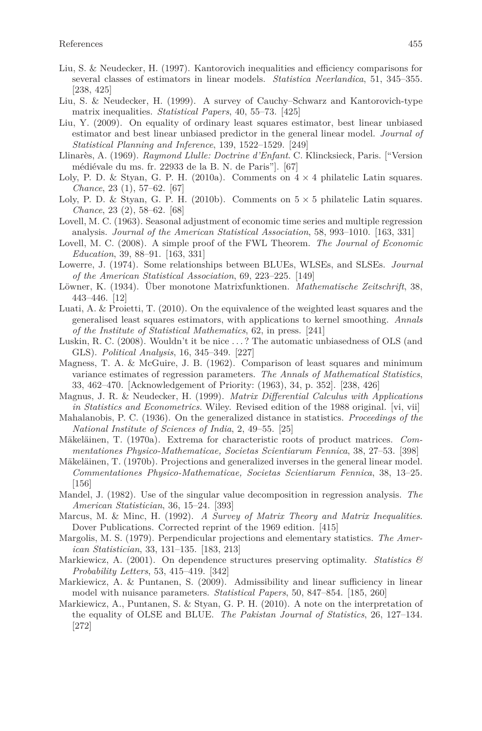- Liu, S. & Neudecker, H. (1997). Kantorovich inequalities and efficiency comparisons for several classes of estimators in linear models. *Statistica Neerlandica*, 51, 345–355. [238, 425]
- Liu, S. & Neudecker, H. (1999). A survey of Cauchy–Schwarz and Kantorovich-type matrix inequalities. *Statistical Papers*, 40, 55–73. [425]
- Liu, Y. (2009). On equality of ordinary least squares estimator, best linear unbiased estimator and best linear unbiased predictor in the general linear model. *Journal of Statistical Planning and Inference*, 139, 1522–1529. [249]
- Llinarès, A. (1969). *Raymond Llulle: Doctrine d'Enfant*. C. Klincksieck, Paris. ["Version médiévale du ms. fr. 22933 de la B. N. de Paris"]. [67]
- Loly, P. D. & Styan, G. P. H. (2010a). Comments on  $4 \times 4$  philatelic Latin squares. *Chance*, 23 (1), 57–62. [67]
- Loly, P. D. & Styan, G. P. H. (2010b). Comments on  $5 \times 5$  philatelic Latin squares. *Chance*, 23 (2), 58–62. [68]
- Lovell, M. C. (1963). Seasonal adjustment of economic time series and multiple regression analysis. *Journal of the American Statistical Association*, 58, 993–1010. [163, 331]
- Lovell, M. C. (2008). A simple proof of the FWL Theorem. *The Journal of Economic Education*, 39, 88–91. [163, 331]
- Lowerre, J. (1974). Some relationships between BLUEs, WLSEs, and SLSEs. *Journal of the American Statistical Association*, 69, 223–225. [149]
- Löwner, K. (1934). Über monotone Matrixfunktionen. *Mathematische Zeitschrift*, 38, 443–446. [12]
- Luati, A. & Proietti, T. (2010). On the equivalence of the weighted least squares and the generalised least squares estimators, with applications to kernel smoothing. *Annals of the Institute of Statistical Mathematics*, 62, in press. [241]
- Luskin, R. C. (2008). Wouldn't it be nice . . . ? The automatic unbiasedness of OLS (and GLS). *Political Analysis*, 16, 345–349. [227]
- Magness, T. A. & McGuire, J. B. (1962). Comparison of least squares and minimum variance estimates of regression parameters. *The Annals of Mathematical Statistics*, 33, 462–470. [Acknowledgement of Priority: (1963), 34, p. 352]. [238, 426]
- Magnus, J. R. & Neudecker, H. (1999). *Matrix Differential Calculus with Applications in Statistics and Econometrics*. Wiley. Revised edition of the 1988 original. [vi, vii]
- Mahalanobis, P. C. (1936). On the generalized distance in statistics. *Proceedings of the National Institute of Sciences of India*, 2, 49–55. [25]
- Mäkeläinen, T. (1970a). Extrema for characteristic roots of product matrices. *Commentationes Physico-Mathematicae, Societas Scientiarum Fennica*, 38, 27–53. [398]
- Mäkeläinen, T. (1970b). Projections and generalized inverses in the general linear model. *Commentationes Physico-Mathematicae, Societas Scientiarum Fennica*, 38, 13–25.  $|156|$
- Mandel, J. (1982). Use of the singular value decomposition in regression analysis. *The American Statistician*, 36, 15–24. [393]
- Marcus, M. & Minc, H. (1992). *A Survey of Matrix Theory and Matrix Inequalities*. Dover Publications. Corrected reprint of the 1969 edition. [415]
- Margolis, M. S. (1979). Perpendicular projections and elementary statistics. *The American Statistician*, 33, 131–135. [183, 213]
- Markiewicz, A. (2001). On dependence structures preserving optimality. *Statistics & Probability Letters*, 53, 415–419. [342]
- Markiewicz, A. & Puntanen, S. (2009). Admissibility and linear sufficiency in linear model with nuisance parameters. *Statistical Papers*, 50, 847–854. [185, 260]
- Markiewicz, A., Puntanen, S. & Styan, G. P. H. (2010). A note on the interpretation of the equality of OLSE and BLUE. *The Pakistan Journal of Statistics*, 26, 127–134. [272]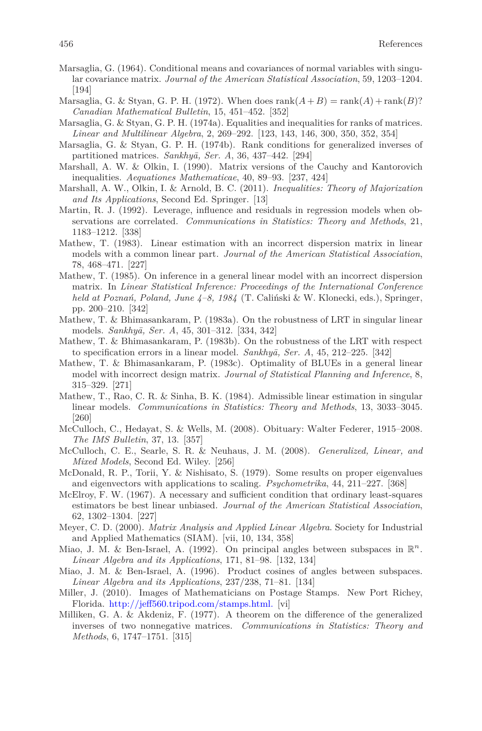- Marsaglia, G. (1964). Conditional means and covariances of normal variables with singular covariance matrix. *Journal of the American Statistical Association*, 59, 1203–1204. [194]
- Marsaglia, G. & Styan, G. P. H. (1972). When does  $rank(A+B) = rank(A) + rank(B)$ ? *Canadian Mathematical Bulletin*, 15, 451–452. [352]
- Marsaglia, G. & Styan, G. P. H. (1974a). Equalities and inequalities for ranks of matrices. *Linear and Multilinear Algebra*, 2, 269–292. [123, 143, 146, 300, 350, 352, 354]
- Marsaglia, G. & Styan, G. P. H. (1974b). Rank conditions for generalized inverses of partitioned matrices. *Sankhyā*, *Ser. A*, 36, 437–442. [294]
- Marshall, A. W. & Olkin, I. (1990). Matrix versions of the Cauchy and Kantorovich inequalities. *Aequationes Mathematicae*, 40, 89–93. [237, 424]
- Marshall, A. W., Olkin, I. & Arnold, B. C. (2011). *Inequalities: Theory of Majorization and Its Applications*, Second Ed. Springer. [13]
- Martin, R. J. (1992). Leverage, influence and residuals in regression models when observations are correlated. *Communications in Statistics: Theory and Methods*, 21, 1183–1212. [338]
- Mathew, T. (1983). Linear estimation with an incorrect dispersion matrix in linear models with a common linear part. *Journal of the American Statistical Association*, 78, 468–471. [227]
- Mathew, T. (1985). On inference in a general linear model with an incorrect dispersion matrix. In *Linear Statistical Inference: Proceedings of the International Conference held at Poznań, Poland, June 4–8, 1984* (T. Caliński & W. Klonecki, eds.), Springer, pp. 200–210. [342]
- Mathew, T. & Bhimasankaram, P. (1983a). On the robustness of LRT in singular linear models. *Sankhy¯a, Ser. A*, 45, 301–312. [334, 342]
- Mathew, T. & Bhimasankaram, P. (1983b). On the robustness of the LRT with respect to specification errors in a linear model. *Sankhyā*, Ser. A, 45, 212–225. [342]
- Mathew, T. & Bhimasankaram, P. (1983c). Optimality of BLUEs in a general linear model with incorrect design matrix. *Journal of Statistical Planning and Inference*, 8, 315–329. [271]
- Mathew, T., Rao, C. R. & Sinha, B. K. (1984). Admissible linear estimation in singular linear models. *Communications in Statistics: Theory and Methods*, 13, 3033–3045. [260]
- McCulloch, C., Hedayat, S. & Wells, M. (2008). Obituary: Walter Federer, 1915–2008. *The IMS Bulletin*, 37, 13. [357]
- McCulloch, C. E., Searle, S. R. & Neuhaus, J. M. (2008). *Generalized, Linear, and Mixed Models*, Second Ed. Wiley. [256]
- McDonald, R. P., Torii, Y. & Nishisato, S. (1979). Some results on proper eigenvalues and eigenvectors with applications to scaling. *Psychometrika*, 44, 211–227. [368]
- McElroy, F. W. (1967). A necessary and sufficient condition that ordinary least-squares estimators be best linear unbiased. *Journal of the American Statistical Association*, 62, 1302–1304. [227]
- Meyer, C. D. (2000). *Matrix Analysis and Applied Linear Algebra*. Society for Industrial and Applied Mathematics (SIAM). [vii, 10, 134, 358]
- Miao, J. M. & Ben-Israel, A. (1992). On principal angles between subspaces in  $\mathbb{R}^n$ . *Linear Algebra and its Applications*, 171, 81–98. [132, 134]
- Miao, J. M. & Ben-Israel, A. (1996). Product cosines of angles between subspaces. *Linear Algebra and its Applications*, 237/238, 71–81. [134]
- Miller, J. (2010). Images of Mathematicians on Postage Stamps. New Port Richey, Florida. [http://jeff560.tripod.com/stamps.html.](http://jeff560.tripod.com/stamps.html) [vi]
- Milliken, G. A. & Akdeniz, F. (1977). A theorem on the difference of the generalized inverses of two nonnegative matrices. *Communications in Statistics: Theory and Methods*, 6, 1747–1751. [315]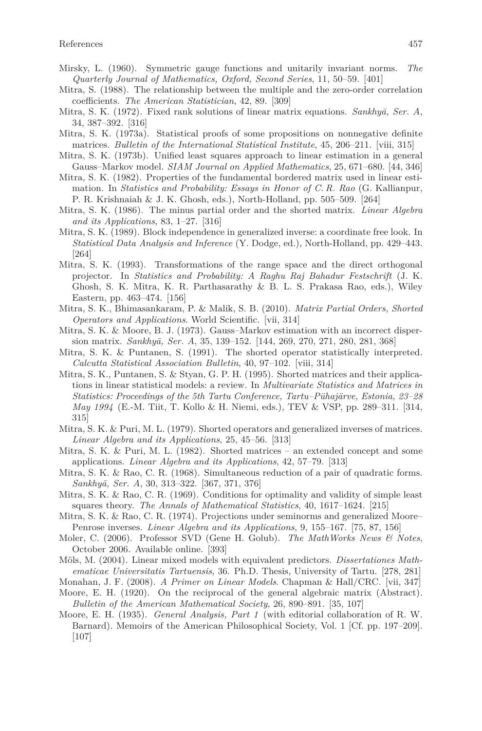- Mirsky, L. (1960). Symmetric gauge functions and unitarily invariant norms. *The Quarterly Journal of Mathematics, Oxford, Second Series*, 11, 50–59. [401]
- Mitra, S. (1988). The relationship between the multiple and the zero-order correlation coefficients. *The American Statistician*, 42, 89. [309]
- Mitra, S. K. (1972). Fixed rank solutions of linear matrix equations. *Sankhya*, Ser. A, 34, 387–392. [316]
- Mitra, S. K. (1973a). Statistical proofs of some propositions on nonnegative definite matrices. *Bulletin of the International Statistical Institute*, 45, 206–211. [viii, 315]
- Mitra, S. K. (1973b). Unified least squares approach to linear estimation in a general Gauss–Markov model. *SIAM Journal on Applied Mathematics*, 25, 671–680. [44, 346]
- Mitra, S. K. (1982). Properties of the fundamental bordered matrix used in linear estimation. In *Statistics and Probability: Essays in Honor of C. R. Rao* (G. Kallianpur, P. R. Krishnaiah & J. K. Ghosh, eds.), North-Holland, pp. 505–509. [264]
- Mitra, S. K. (1986). The minus partial order and the shorted matrix. *Linear Algebra and its Applications*, 83, 1–27. [316]
- Mitra, S. K. (1989). Block independence in generalized inverse: a coordinate free look. In *Statistical Data Analysis and Inference* (Y. Dodge, ed.), North-Holland, pp. 429–443. [264]
- Mitra, S. K. (1993). Transformations of the range space and the direct orthogonal projector. In *Statistics and Probability: A Raghu Raj Bahadur Festschrift* (J. K. Ghosh, S. K. Mitra, K. R. Parthasarathy & B. L. S. Prakasa Rao, eds.), Wiley Eastern, pp. 463–474. [156]
- Mitra, S. K., Bhimasankaram, P. & Malik, S. B. (2010). *Matrix Partial Orders, Shorted Operators and Applications*. World Scientific. [vii, 314]
- Mitra, S. K. & Moore, B. J. (1973). Gauss–Markov estimation with an incorrect dispersion matrix. *Sankhyā*, *Ser. A*, 35, 139–152. [144, 269, 270, 271, 280, 281, 368]
- Mitra, S. K. & Puntanen, S. (1991). The shorted operator statistically interpreted. *Calcutta Statistical Association Bulletin*, 40, 97–102. [viii, 314]
- Mitra, S. K., Puntanen, S. & Styan, G. P. H. (1995). Shorted matrices and their applications in linear statistical models: a review. In *Multivariate Statistics and Matrices in Statistics: Proceedings of the 5th Tartu Conference, Tartu–Pühajärve, Estonia, 23–28 May 1994* (E.-M. Tiit, T. Kollo & H. Niemi, eds.), TEV & VSP, pp. 289–311. [314, 315]
- Mitra, S. K. & Puri, M. L. (1979). Shorted operators and generalized inverses of matrices. *Linear Algebra and its Applications*, 25, 45–56. [313]
- Mitra, S. K. & Puri, M. L. (1982). Shorted matrices an extended concept and some applications. *Linear Algebra and its Applications*, 42, 57–79. [313]
- Mitra, S. K. & Rao, C. R. (1968). Simultaneous reduction of a pair of quadratic forms. *Sankhy¯a, Ser. A*, 30, 313–322. [367, 371, 376]
- Mitra, S. K. & Rao, C. R.  $(1969)$ . Conditions for optimality and validity of simple least squares theory. *The Annals of Mathematical Statistics*, 40, 1617–1624. [215]
- Mitra, S. K. & Rao, C. R. (1974). Projections under seminorms and generalized Moore– Penrose inverses. *Linear Algebra and its Applications*, 9, 155–167. [75, 87, 156]
- Moler, C. (2006). Professor SVD (Gene H. Golub). *The MathWorks News & Notes*, October 2006. Available online. [393]
- Möls, M. (2004). Linear mixed models with equivalent predictors. *Dissertationes Mathematicae Universitatis Tartuensis*, 36. Ph.D. Thesis, University of Tartu. [278, 281]
- Monahan, J. F. (2008). *A Primer on Linear Models*. Chapman & Hall/CRC. [vii, 347]
- Moore, E. H. (1920). On the reciprocal of the general algebraic matrix (Abstract). *Bulletin of the American Mathematical Society*, 26, 890–891. [35, 107]
- Moore, E. H. (1935). *General Analysis, Part 1* (with editorial collaboration of R. W. Barnard). Memoirs of the American Philosophical Society, Vol. 1 [Cf. pp. 197–209]. [107]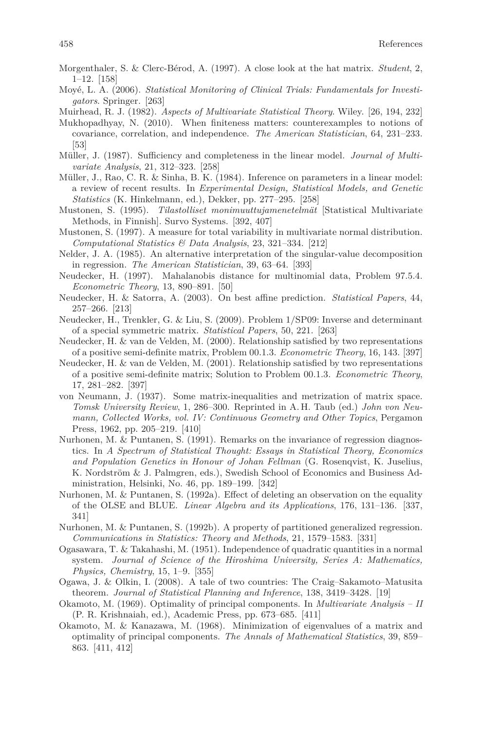- Morgenthaler, S. & Clerc-Bérod, A. (1997). A close look at the hat matrix. *Student*, 2, 1–12. [158]
- Moyé, L. A. (2006). *Statistical Monitoring of Clinical Trials: Fundamentals for Investigators*. Springer. [263]
- Muirhead, R. J. (1982). *Aspects of Multivariate Statistical Theory*. Wiley. [26, 194, 232]
- Mukhopadhyay, N. (2010). When finiteness matters: counterexamples to notions of covariance, correlation, and independence. *The American Statistician*, 64, 231–233. [53]
- Müller, J. (1987). Sufficiency and completeness in the linear model. *Journal of Multivariate Analysis*, 21, 312–323. [258]
- Müller, J., Rao, C. R. & Sinha, B. K. (1984). Inference on parameters in a linear model: a review of recent results. In *Experimental Design, Statistical Models, and Genetic Statistics* (K. Hinkelmann, ed.), Dekker, pp. 277–295. [258]
- Mustonen, S. (1995). *Tilastolliset monimuuttujamenetelmät* [Statistical Multivariate Methods, in Finnish]. Survo Systems. [392, 407]
- Mustonen, S. (1997). A measure for total variability in multivariate normal distribution. *Computational Statistics & Data Analysis*, 23, 321–334. [212]
- Nelder, J. A. (1985). An alternative interpretation of the singular-value decomposition in regression. *The American Statistician*, 39, 63–64. [393]
- Neudecker, H. (1997). Mahalanobis distance for multinomial data, Problem 97.5.4. *Econometric Theory*, 13, 890–891. [50]
- Neudecker, H. & Satorra, A. (2003). On best affine prediction. *Statistical Papers*, 44, 257–266. [213]
- Neudecker, H., Trenkler, G. & Liu, S. (2009). Problem 1/SP09: Inverse and determinant of a special symmetric matrix. *Statistical Papers*, 50, 221. [263]
- Neudecker, H. & van de Velden, M. (2000). Relationship satisfied by two representations of a positive semi-definite matrix, Problem 00.1.3. *Econometric Theory*, 16, 143. [397]
- Neudecker, H. & van de Velden, M. (2001). Relationship satisfied by two representations of a positive semi-definite matrix; Solution to Problem 00.1.3. *Econometric Theory*, 17, 281–282. [397]
- von Neumann, J. (1937). Some matrix-inequalities and metrization of matrix space. *Tomsk University Review*, 1, 286–300. Reprinted in A. H. Taub (ed.) *John von Neumann, Collected Works, vol. IV: Continuous Geometry and Other Topics*, Pergamon Press, 1962, pp. 205–219. [410]
- Nurhonen, M. & Puntanen, S. (1991). Remarks on the invariance of regression diagnostics. In *A Spectrum of Statistical Thought: Essays in Statistical Theory, Economics and Population Genetics in Honour of Johan Fellman* (G. Rosenqvist, K. Juselius, K. Nordström & J. Palmgren, eds.), Swedish School of Economics and Business Administration, Helsinki, No. 46, pp. 189–199. [342]
- Nurhonen, M. & Puntanen, S. (1992a). Effect of deleting an observation on the equality of the OLSE and BLUE. *Linear Algebra and its Applications*, 176, 131–136. [337, 341]
- Nurhonen, M. & Puntanen, S. (1992b). A property of partitioned generalized regression. *Communications in Statistics: Theory and Methods*, 21, 1579–1583. [331]
- Ogasawara, T. & Takahashi, M. (1951). Independence of quadratic quantities in a normal system. *Journal of Science of the Hiroshima University, Series A: Mathematics, Physics, Chemistry*, 15, 1–9. [355]
- Ogawa, J. & Olkin, I. (2008). A tale of two countries: The Craig–Sakamoto–Matusita theorem. *Journal of Statistical Planning and Inference*, 138, 3419–3428. [19]
- Okamoto, M. (1969). Optimality of principal components. In *Multivariate Analysis II* (P. R. Krishnaiah, ed.), Academic Press, pp. 673–685. [411]
- Okamoto, M. & Kanazawa, M. (1968). Minimization of eigenvalues of a matrix and optimality of principal components. *The Annals of Mathematical Statistics*, 39, 859– 863. [411, 412]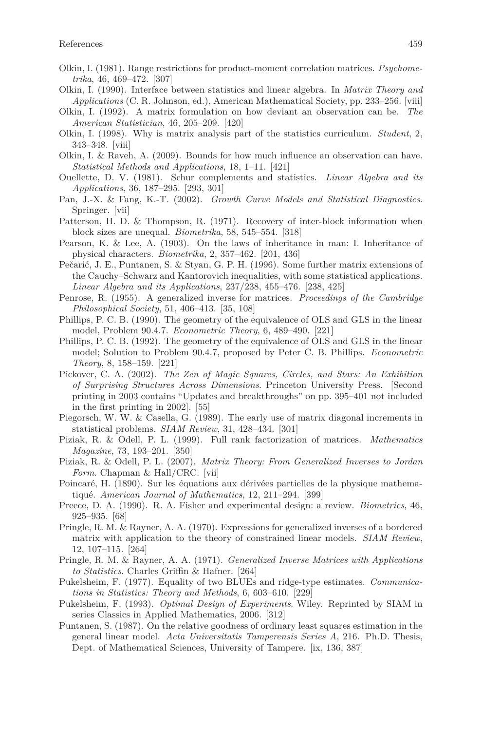- Olkin, I. (1981). Range restrictions for product-moment correlation matrices. *Psychometrika*, 46, 469–472. [307]
- Olkin, I. (1990). Interface between statistics and linear algebra. In *Matrix Theory and Applications* (C. R. Johnson, ed.), American Mathematical Society, pp. 233–256. [viii]
- Olkin, I. (1992). A matrix formulation on how deviant an observation can be. *The American Statistician*, 46, 205–209. [420]
- Olkin, I. (1998). Why is matrix analysis part of the statistics curriculum. *Student*, 2, 343–348. [viii]
- Olkin, I. & Raveh, A. (2009). Bounds for how much influence an observation can have. *Statistical Methods and Applications*, 18, 1–11. [421]
- Ouellette, D. V. (1981). Schur complements and statistics. *Linear Algebra and its Applications*, 36, 187–295. [293, 301]
- Pan, J.-X. & Fang, K.-T. (2002). *Growth Curve Models and Statistical Diagnostics*. Springer. [vii]
- Patterson, H. D. & Thompson, R. (1971). Recovery of inter-block information when block sizes are unequal. *Biometrika*, 58, 545–554. [318]
- Pearson, K. & Lee, A. (1903). On the laws of inheritance in man: I. Inheritance of physical characters. *Biometrika*, 2, 357–462. [201, 436]
- Pečarić, J. E., Puntanen, S. & Styan, G. P. H. (1996). Some further matrix extensions of the Cauchy–Schwarz and Kantorovich inequalities, with some statistical applications. *Linear Algebra and its Applications*, 237/238, 455–476. [238, 425]
- Penrose, R. (1955). A generalized inverse for matrices. *Proceedings of the Cambridge Philosophical Society*, 51, 406–413. [35, 108]
- Phillips, P. C. B. (1990). The geometry of the equivalence of OLS and GLS in the linear model, Problem 90.4.7. *Econometric Theory*, 6, 489–490. [221]
- Phillips, P. C. B. (1992). The geometry of the equivalence of OLS and GLS in the linear model; Solution to Problem 90.4.7, proposed by Peter C. B. Phillips. *Econometric Theory*, 8, 158–159. [221]
- Pickover, C. A. (2002). *The Zen of Magic Squares, Circles, and Stars: An Exhibition of Surprising Structures Across Dimensions*. Princeton University Press. [Second printing in 2003 contains "Updates and breakthroughs" on pp. 395–401 not included in the first printing in 2002]. [55]
- Piegorsch, W. W. & Casella, G. (1989). The early use of matrix diagonal increments in statistical problems. *SIAM Review*, 31, 428–434. [301]
- Piziak, R. & Odell, P. L. (1999). Full rank factorization of matrices. *Mathematics Magazine*, 73, 193–201. [350]
- Piziak, R. & Odell, P. L. (2007). *Matrix Theory: From Generalized Inverses to Jordan Form*. Chapman & Hall/CRC. [vii]
- Poincaré, H. (1890). Sur les équations aux dérivées partielles de la physique mathematiqué. *American Journal of Mathematics*, 12, 211–294. [399]
- Preece, D. A. (1990). R. A. Fisher and experimental design: a review. *Biometrics*, 46, 925–935. [68]
- Pringle, R. M. & Rayner, A. A. (1970). Expressions for generalized inverses of a bordered matrix with application to the theory of constrained linear models. *SIAM Review*, 12, 107–115. [264]
- Pringle, R. M. & Rayner, A. A. (1971). *Generalized Inverse Matrices with Applications to Statistics*. Charles Griffin & Hafner. [264]
- Pukelsheim, F. (1977). Equality of two BLUEs and ridge-type estimates. *Communications in Statistics: Theory and Methods*, 6, 603–610. [229]
- Pukelsheim, F. (1993). *Optimal Design of Experiments*. Wiley. Reprinted by SIAM in series Classics in Applied Mathematics, 2006. [312]
- Puntanen, S. (1987). On the relative goodness of ordinary least squares estimation in the general linear model. *Acta Universitatis Tamperensis Series A*, 216. Ph.D. Thesis, Dept. of Mathematical Sciences, University of Tampere. [ix, 136, 387]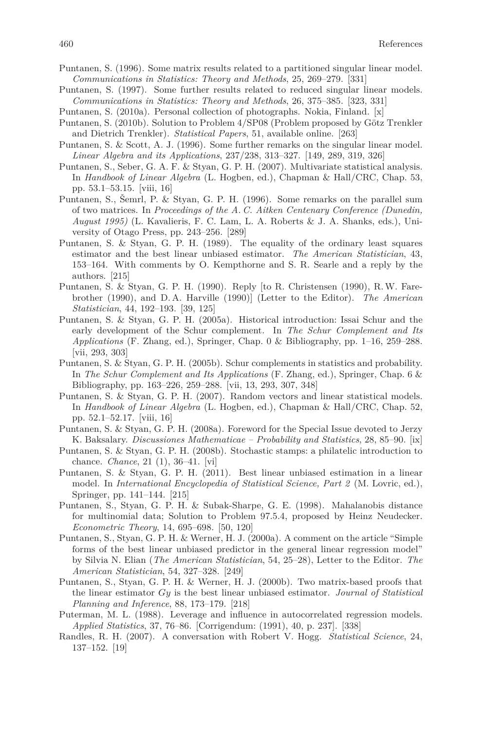- Puntanen, S. (1996). Some matrix results related to a partitioned singular linear model. *Communications in Statistics: Theory and Methods*, 25, 269–279. [331]
- Puntanen, S. (1997). Some further results related to reduced singular linear models. *Communications in Statistics: Theory and Methods*, 26, 375–385. [323, 331]
- Puntanen, S. (2010a). Personal collection of photographs. Nokia, Finland. [x]
- Puntanen, S. (2010b). Solution to Problem 4/SP08 (Problem proposed by Götz Trenkler and Dietrich Trenkler). *Statistical Papers*, 51, available online. [263]
- Puntanen, S. & Scott, A. J. (1996). Some further remarks on the singular linear model. *Linear Algebra and its Applications*, 237/238, 313–327. [149, 289, 319, 326]
- Puntanen, S., Seber, G. A. F. & Styan, G. P. H. (2007). Multivariate statistical analysis. In *Handbook of Linear Algebra* (L. Hogben, ed.), Chapman & Hall/CRC, Chap. 53, pp. 53.1–53.15. [viii, 16]
- Puntanen, S., Šemrl, P. & Styan, G. P. H. (1996). Some remarks on the parallel sum of two matrices. In *Proceedings of the A. C. Aitken Centenary Conference (Dunedin, August 1995)* (L. Kavalieris, F. C. Lam, L. A. Roberts & J. A. Shanks, eds.), University of Otago Press, pp. 243–256. [289]
- Puntanen, S. & Styan, G. P. H. (1989). The equality of the ordinary least squares estimator and the best linear unbiased estimator. *The American Statistician*, 43, 153–164. With comments by O. Kempthorne and S. R. Searle and a reply by the authors. [215]
- Puntanen, S. & Styan, G. P. H. (1990). Reply [to R. Christensen (1990), R.W. Farebrother (1990), and D. A. Harville (1990)] (Letter to the Editor). *The American Statistician*, 44, 192–193. [39, 125]
- Puntanen, S. & Styan, G. P. H. (2005a). Historical introduction: Issai Schur and the early development of the Schur complement. In *The Schur Complement and Its Applications* (F. Zhang, ed.), Springer, Chap. 0 & Bibliography, pp. 1–16, 259–288. [vii, 293, 303]
- Puntanen, S. & Styan, G. P. H. (2005b). Schur complements in statistics and probability. In *The Schur Complement and Its Applications* (F. Zhang, ed.), Springer, Chap. 6 & Bibliography, pp. 163–226, 259–288. [vii, 13, 293, 307, 348]
- Puntanen, S. & Styan, G. P. H. (2007). Random vectors and linear statistical models. In *Handbook of Linear Algebra* (L. Hogben, ed.), Chapman & Hall/CRC, Chap. 52, pp. 52.1–52.17. [viii, 16]
- Puntanen, S. & Styan, G. P. H. (2008a). Foreword for the Special Issue devoted to Jerzy K. Baksalary. *Discussiones Mathematicae – Probability and Statistics*, 28, 85–90. [ix]
- Puntanen, S. & Styan, G. P. H. (2008b). Stochastic stamps: a philatelic introduction to chance. *Chance*, 21 (1), 36–41. [vi]
- Puntanen, S. & Styan, G. P. H. (2011). Best linear unbiased estimation in a linear model. In *International Encyclopedia of Statistical Science, Part 2* (M. Lovric, ed.), Springer, pp. 141–144. [215]
- Puntanen, S., Styan, G. P. H. & Subak-Sharpe, G. E. (1998). Mahalanobis distance for multinomial data; Solution to Problem 97.5.4, proposed by Heinz Neudecker. *Econometric Theory*, 14, 695–698. [50, 120]
- Puntanen, S., Styan, G. P. H. & Werner, H. J. (2000a). A comment on the article "Simple forms of the best linear unbiased predictor in the general linear regression model" by Silvia N. Elian (*The American Statistician*, 54, 25–28), Letter to the Editor. *The American Statistician*, 54, 327–328. [249]
- Puntanen, S., Styan, G. P. H. & Werner, H. J. (2000b). Two matrix-based proofs that the linear estimator *Gy* is the best linear unbiased estimator. *Journal of Statistical Planning and Inference*, 88, 173–179. [218]
- Puterman, M. L. (1988). Leverage and influence in autocorrelated regression models. *Applied Statistics*, 37, 76–86. [Corrigendum: (1991), 40, p. 237]. [338]
- Randles, R. H. (2007). A conversation with Robert V. Hogg. *Statistical Science*, 24, 137–152. [19]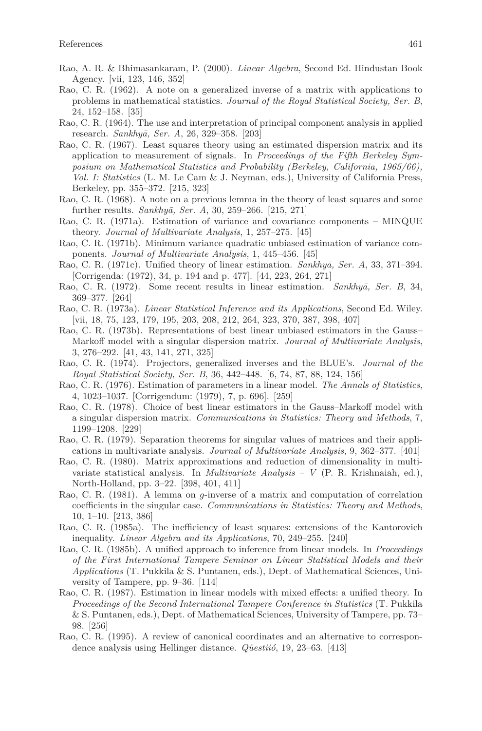- Rao, A. R. & Bhimasankaram, P. (2000). *Linear Algebra*, Second Ed. Hindustan Book Agency. [vii, 123, 146, 352]
- Rao, C. R. (1962). A note on a generalized inverse of a matrix with applications to problems in mathematical statistics. *Journal of the Royal Statistical Society, Ser. B*, 24, 152–158. [35]
- Rao, C. R. (1964). The use and interpretation of principal component analysis in applied research. *Sankhy¯a, Ser. A*, 26, 329–358. [203]
- Rao, C. R. (1967). Least squares theory using an estimated dispersion matrix and its application to measurement of signals. In *Proceedings of the Fifth Berkeley Symposium on Mathematical Statistics and Probability (Berkeley, California, 1965/66), Vol. I: Statistics* (L. M. Le Cam & J. Neyman, eds.), University of California Press, Berkeley, pp. 355–372. [215, 323]
- Rao, C. R. (1968). A note on a previous lemma in the theory of least squares and some further results. *Sankhyā*, *Ser. A*, 30, 259–266. [215, 271]
- Rao, C. R. (1971a). Estimation of variance and covariance components MINQUE theory. *Journal of Multivariate Analysis*, 1, 257–275. [45]
- Rao, C. R. (1971b). Minimum variance quadratic unbiased estimation of variance components. *Journal of Multivariate Analysis*, 1, 445–456. [45]
- Rao, C. R. (1971c). Unified theory of linear estimation. *Sankhyā*, *Ser. A*, 33, 371–394. [Corrigenda: (1972), 34, p. 194 and p. 477]. [44, 223, 264, 271]
- Rao, C. R. (1972). Some recent results in linear estimation. *Sankhyā*, *Ser. B*, 34, 369–377. [264]
- Rao, C. R. (1973a). *Linear Statistical Inference and its Applications*, Second Ed. Wiley. [vii, 18, 75, 123, 179, 195, 203, 208, 212, 264, 323, 370, 387, 398, 407]
- Rao, C. R. (1973b). Representations of best linear unbiased estimators in the Gauss– Markoff model with a singular dispersion matrix. *Journal of Multivariate Analysis*, 3, 276–292. [41, 43, 141, 271, 325]
- Rao, C. R. (1974). Projectors, generalized inverses and the BLUE's. *Journal of the Royal Statistical Society, Ser. B*, 36, 442–448. [6, 74, 87, 88, 124, 156]
- Rao, C. R. (1976). Estimation of parameters in a linear model. *The Annals of Statistics*, 4, 1023–1037. [Corrigendum: (1979), 7, p. 696]. [259]
- Rao, C. R. (1978). Choice of best linear estimators in the Gauss–Markoff model with a singular dispersion matrix. *Communications in Statistics: Theory and Methods*, 7, 1199–1208. [229]
- Rao, C. R. (1979). Separation theorems for singular values of matrices and their applications in multivariate analysis. *Journal of Multivariate Analysis*, 9, 362–377. [401]
- Rao, C. R. (1980). Matrix approximations and reduction of dimensionality in multivariate statistical analysis. In *Multivariate Analysis – V* (P. R. Krishnaiah, ed.), North-Holland, pp. 3–22. [398, 401, 411]
- Rao, C. R. (1981). A lemma on *g*-inverse of a matrix and computation of correlation coefficients in the singular case. *Communications in Statistics: Theory and Methods*, 10, 1–10. [213, 386]
- Rao, C. R. (1985a). The inefficiency of least squares: extensions of the Kantorovich inequality. *Linear Algebra and its Applications*, 70, 249–255. [240]
- Rao, C. R. (1985b). A unified approach to inference from linear models. In *Proceedings of the First International Tampere Seminar on Linear Statistical Models and their Applications* (T. Pukkila & S. Puntanen, eds.), Dept. of Mathematical Sciences, University of Tampere, pp. 9–36. [114]
- Rao, C. R. (1987). Estimation in linear models with mixed effects: a unified theory. In *Proceedings of the Second International Tampere Conference in Statistics* (T. Pukkila & S. Puntanen, eds.), Dept. of Mathematical Sciences, University of Tampere, pp. 73– 98. [256]
- Rao, C. R. (1995). A review of canonical coordinates and an alternative to correspondence analysis using Hellinger distance. *Qüestiió*, 19, 23–63. [413]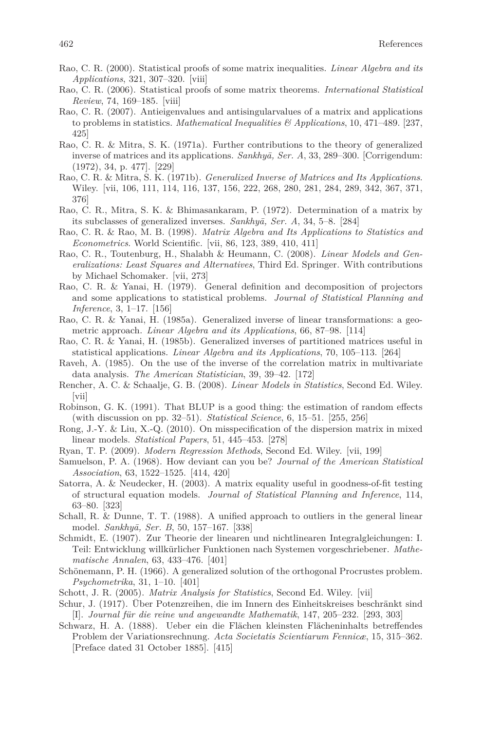- Rao, C. R. (2000). Statistical proofs of some matrix inequalities. *Linear Algebra and its Applications*, 321, 307–320. [viii]
- Rao, C. R. (2006). Statistical proofs of some matrix theorems. *International Statistical Review*, 74, 169–185. [viii]
- Rao, C. R. (2007). Antieigenvalues and antisingularvalues of a matrix and applications to problems in statistics. *Mathematical Inequalities & Applications*, 10, 471–489. [237, 425]
- Rao, C. R. & Mitra, S. K. (1971a). Further contributions to the theory of generalized inverse of matrices and its applications. *Sankhyā*, *Ser. A*, 33, 289–300. [Corrigendum: (1972), 34, p. 477]. [229]
- Rao, C. R. & Mitra, S. K. (1971b). *Generalized Inverse of Matrices and Its Applications*. Wiley. [vii, 106, 111, 114, 116, 137, 156, 222, 268, 280, 281, 284, 289, 342, 367, 371, 376]
- Rao, C. R., Mitra, S. K. & Bhimasankaram, P. (1972). Determination of a matrix by its subclasses of generalized inverses. *Sankhy¯a, Ser. A*, 34, 5–8. [284]
- Rao, C. R. & Rao, M. B. (1998). *Matrix Algebra and Its Applications to Statistics and Econometrics*. World Scientific. [vii, 86, 123, 389, 410, 411]
- Rao, C. R., Toutenburg, H., Shalabh & Heumann, C. (2008). *Linear Models and Generalizations: Least Squares and Alternatives*, Third Ed. Springer. With contributions by Michael Schomaker. [vii, 273]
- Rao, C. R. & Yanai, H. (1979). General definition and decomposition of projectors and some applications to statistical problems. *Journal of Statistical Planning and Inference*, 3, 1–17. [156]
- Rao, C. R. & Yanai, H. (1985a). Generalized inverse of linear transformations: a geometric approach. *Linear Algebra and its Applications*, 66, 87–98. [114]
- Rao, C. R. & Yanai, H. (1985b). Generalized inverses of partitioned matrices useful in statistical applications. *Linear Algebra and its Applications*, 70, 105–113. [264]
- Raveh, A. (1985). On the use of the inverse of the correlation matrix in multivariate data analysis. *The American Statistician*, 39, 39–42. [172]
- Rencher, A. C. & Schaalje, G. B. (2008). *Linear Models in Statistics*, Second Ed. Wiley. [vii]
- Robinson, G. K. (1991). That BLUP is a good thing: the estimation of random effects (with discussion on pp. 32–51). *Statistical Science*, 6, 15–51. [255, 256]
- Rong, J.-Y. & Liu, X.-Q. (2010). On misspecification of the dispersion matrix in mixed linear models. *Statistical Papers*, 51, 445–453. [278]
- Ryan, T. P. (2009). *Modern Regression Methods*, Second Ed. Wiley. [vii, 199]
- Samuelson, P. A. (1968). How deviant can you be? *Journal of the American Statistical Association*, 63, 1522–1525. [414, 420]
- Satorra, A. & Neudecker, H. (2003). A matrix equality useful in goodness-of-fit testing of structural equation models. *Journal of Statistical Planning and Inference*, 114, 63–80. [323]
- Schall, R. & Dunne, T. T. (1988). A unified approach to outliers in the general linear model. *Sankhy¯a, Ser. B*, 50, 157–167. [338]
- Schmidt, E. (1907). Zur Theorie der linearen und nichtlinearen Integralgleichungen: I. Teil: Entwicklung willkürlicher Funktionen nach Systemen vorgeschriebener. *Mathematische Annalen*, 63, 433–476. [401]
- Schönemann, P. H. (1966). A generalized solution of the orthogonal Procrustes problem. *Psychometrika*, 31, 1–10. [401]
- Schott, J. R. (2005). *Matrix Analysis for Statistics*, Second Ed. Wiley. [vii]
- Schur, J. (1917). Über Potenzreihen, die im Innern des Einheitskreises beschränkt sind [I]. *Journal für die reine und angewandte Mathematik*, 147, 205–232. [293, 303]
- Schwarz, H. A. (1888). Ueber ein die Flächen kleinsten Flächeninhalts betreffendes Problem der Variationsrechnung. *Acta Societatis Scientiarum Fennicæ*, 15, 315–362. [Preface dated 31 October 1885]. [415]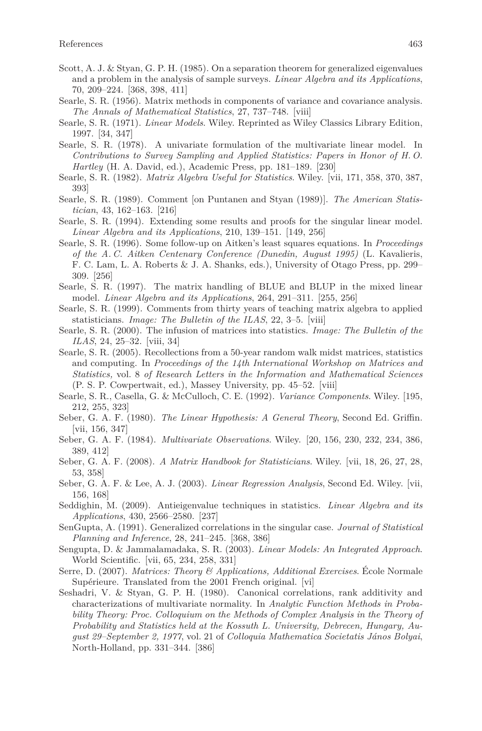- Scott, A. J. & Styan, G. P. H. (1985). On a separation theorem for generalized eigenvalues and a problem in the analysis of sample surveys. *Linear Algebra and its Applications*, 70, 209–224. [368, 398, 411]
- Searle, S. R. (1956). Matrix methods in components of variance and covariance analysis. *The Annals of Mathematical Statistics*, 27, 737–748. [viii]
- Searle, S. R. (1971). *Linear Models*. Wiley. Reprinted as Wiley Classics Library Edition, 1997. [34, 347]
- Searle, S. R. (1978). A univariate formulation of the multivariate linear model. In *Contributions to Survey Sampling and Applied Statistics: Papers in Honor of H. O. Hartley* (H. A. David, ed.), Academic Press, pp. 181–189. [230]
- Searle, S. R. (1982). *Matrix Algebra Useful for Statistics*. Wiley. [vii, 171, 358, 370, 387, 393]
- Searle, S. R. (1989). Comment [on Puntanen and Styan (1989)]. *The American Statistician*, 43, 162–163. [216]
- Searle, S. R. (1994). Extending some results and proofs for the singular linear model. *Linear Algebra and its Applications*, 210, 139–151. [149, 256]
- Searle, S. R. (1996). Some follow-up on Aitken's least squares equations. In *Proceedings of the A. C. Aitken Centenary Conference (Dunedin, August 1995)* (L. Kavalieris, F. C. Lam, L. A. Roberts & J. A. Shanks, eds.), University of Otago Press, pp. 299– 309. [256]
- Searle, S. R. (1997). The matrix handling of BLUE and BLUP in the mixed linear model. *Linear Algebra and its Applications*, 264, 291–311. [255, 256]
- Searle, S. R. (1999). Comments from thirty years of teaching matrix algebra to applied statisticians. *Image: The Bulletin of the ILAS*, 22, 3–5. [viii]
- Searle, S. R. (2000). The infusion of matrices into statistics. *Image: The Bulletin of the ILAS*, 24, 25–32. [viii, 34]
- Searle, S. R. (2005). Recollections from a 50-year random walk midst matrices, statistics and computing. In *Proceedings of the 14th International Workshop on Matrices and Statistics,* vol. 8 *of Research Letters in the Information and Mathematical Sciences* (P. S. P. Cowpertwait, ed.), Massey University, pp. 45–52. [viii]
- Searle, S. R., Casella, G. & McCulloch, C. E. (1992). *Variance Components*. Wiley. [195, 212, 255, 323]
- Seber, G. A. F. (1980). *The Linear Hypothesis: A General Theory*, Second Ed. Griffin. [vii, 156, 347]
- Seber, G. A. F. (1984). *Multivariate Observations*. Wiley. [20, 156, 230, 232, 234, 386, 389, 412]
- Seber, G. A. F. (2008). *A Matrix Handbook for Statisticians*. Wiley. [vii, 18, 26, 27, 28, 53, 358]
- Seber, G. A. F. & Lee, A. J. (2003). *Linear Regression Analysis*, Second Ed. Wiley. [vii, 156, 168]
- Seddighin, M. (2009). Antieigenvalue techniques in statistics. *Linear Algebra and its Applications*, 430, 2566–2580. [237]
- SenGupta, A. (1991). Generalized correlations in the singular case. *Journal of Statistical Planning and Inference*, 28, 241–245. [368, 386]
- Sengupta, D. & Jammalamadaka, S. R. (2003). *Linear Models: An Integrated Approach*. World Scientific. [vii, 65, 234, 258, 331]
- Serre, D. (2007). *Matrices: Theory & Applications, Additional Exercises*. École Normale Supérieure. Translated from the 2001 French original. [vi]
- Seshadri, V. & Styan, G. P. H. (1980). Canonical correlations, rank additivity and characterizations of multivariate normality. In *Analytic Function Methods in Probability Theory: Proc. Colloquium on the Methods of Complex Analysis in the Theory of Probability and Statistics held at the Kossuth L. University, Debrecen, Hungary, August 29–September 2, 1977*, vol. 21 of *Colloquia Mathematica Societatis János Bolyai*, North-Holland, pp. 331–344. [386]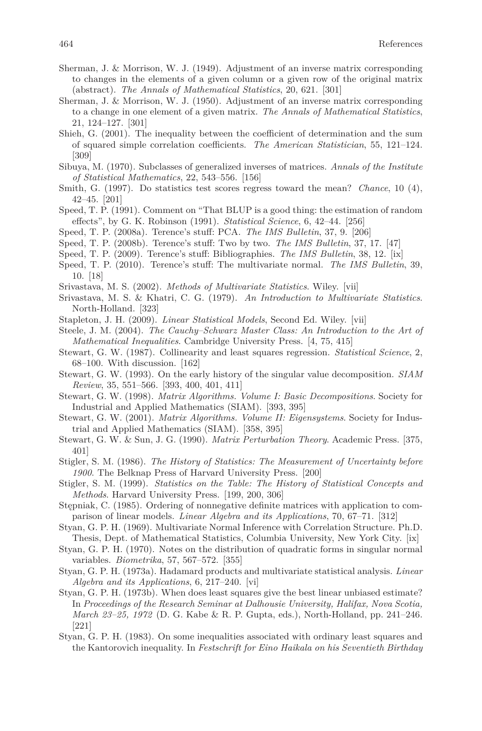- Sherman, J. & Morrison, W. J. (1949). Adjustment of an inverse matrix corresponding to changes in the elements of a given column or a given row of the original matrix (abstract). *The Annals of Mathematical Statistics*, 20, 621. [301]
- Sherman, J. & Morrison, W. J. (1950). Adjustment of an inverse matrix corresponding to a change in one element of a given matrix. *The Annals of Mathematical Statistics*, 21, 124–127. [301]
- Shieh, G. (2001). The inequality between the coefficient of determination and the sum of squared simple correlation coefficients. *The American Statistician*, 55, 121–124. [309]
- Sibuya, M. (1970). Subclasses of generalized inverses of matrices. *Annals of the Institute of Statistical Mathematics*, 22, 543–556. [156]
- Smith, G. (1997). Do statistics test scores regress toward the mean? *Chance*, 10 (4), 42–45. [201]
- Speed, T. P. (1991). Comment on "That BLUP is a good thing: the estimation of random effects", by G. K. Robinson (1991). *Statistical Science*, 6, 42–44. [256]
- Speed, T. P. (2008a). Terence's stuff: PCA. *The IMS Bulletin*, 37, 9. [206]
- Speed, T. P. (2008b). Terence's stuff: Two by two. *The IMS Bulletin*, 37, 17. [47]
- Speed, T. P. (2009). Terence's stuff: Bibliographies. *The IMS Bulletin*, 38, 12. [ix]
- Speed, T. P. (2010). Terence's stuff: The multivariate normal. *The IMS Bulletin*, 39, 10. [18]
- Srivastava, M. S. (2002). *Methods of Multivariate Statistics*. Wiley. [vii]
- Srivastava, M. S. & Khatri, C. G. (1979). *An Introduction to Multivariate Statistics*. North-Holland. [323]
- Stapleton, J. H. (2009). *Linear Statistical Models*, Second Ed. Wiley. [vii]
- Steele, J. M. (2004). *The Cauchy–Schwarz Master Class: An Introduction to the Art of Mathematical Inequalities*. Cambridge University Press. [4, 75, 415]
- Stewart, G. W. (1987). Collinearity and least squares regression. *Statistical Science*, 2, 68–100. With discussion. [162]
- Stewart, G. W. (1993). On the early history of the singular value decomposition. *SIAM Review*, 35, 551–566. [393, 400, 401, 411]
- Stewart, G. W. (1998). *Matrix Algorithms. Volume I: Basic Decompositions*. Society for Industrial and Applied Mathematics (SIAM). [393, 395]
- Stewart, G. W. (2001). *Matrix Algorithms. Volume II: Eigensystems*. Society for Industrial and Applied Mathematics (SIAM). [358, 395]
- Stewart, G. W. & Sun, J. G. (1990). *Matrix Perturbation Theory*. Academic Press. [375, 401]
- Stigler, S. M. (1986). *The History of Statistics: The Measurement of Uncertainty before 1900*. The Belknap Press of Harvard University Press. [200]
- Stigler, S. M. (1999). *Statistics on the Table: The History of Statistical Concepts and Methods*. Harvard University Press. [199, 200, 306]
- Stępniak, C. (1985). Ordering of nonnegative definite matrices with application to comparison of linear models. *Linear Algebra and its Applications*, 70, 67–71. [312]
- Styan, G. P. H. (1969). Multivariate Normal Inference with Correlation Structure. Ph.D. Thesis, Dept. of Mathematical Statistics, Columbia University, New York City. [ix]
- Styan, G. P. H. (1970). Notes on the distribution of quadratic forms in singular normal variables. *Biometrika*, 57, 567–572. [355]
- Styan, G. P. H. (1973a). Hadamard products and multivariate statistical analysis. *Linear Algebra and its Applications*, 6, 217–240. [vi]
- Styan, G. P. H. (1973b). When does least squares give the best linear unbiased estimate? In *Proceedings of the Research Seminar at Dalhousie University, Halifax, Nova Scotia, March 23–25, 1972* (D. G. Kabe & R. P. Gupta, eds.), North-Holland, pp. 241–246. [221]
- Styan, G. P. H. (1983). On some inequalities associated with ordinary least squares and the Kantorovich inequality. In *Festschrift for Eino Haikala on his Seventieth Birthday*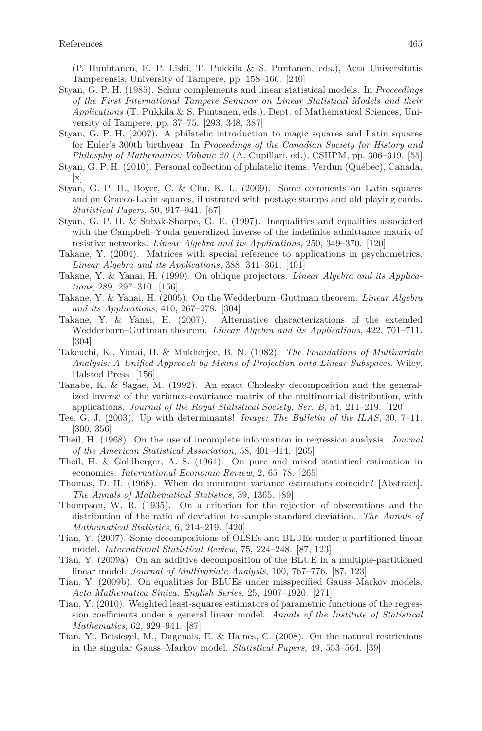(P. Huuhtanen, E. P. Liski, T. Pukkila & S. Puntanen, eds.), Acta Universitatis Tamperensis, University of Tampere, pp. 158–166. [240]

- Styan, G. P. H. (1985). Schur complements and linear statistical models. In *Proceedings of the First International Tampere Seminar on Linear Statistical Models and their Applications* (T. Pukkila & S. Puntanen, eds.), Dept. of Mathematical Sciences, University of Tampere, pp. 37–75. [293, 348, 387]
- Styan, G. P. H. (2007). A philatelic introduction to magic squares and Latin squares for Euler's 300th birthyear. In *Proceedings of the Canadian Society for History and Philosphy of Mathematics: Volume 20* (A. Cupillari, ed.), CSHPM, pp. 306–319. [55]
- Styan, G. P. H. (2010). Personal collection of philatelic items. Verdun (Québec), Canada.  $\vert x \vert$
- Styan, G. P. H., Boyer, C. & Chu, K. L. (2009). Some comments on Latin squares and on Graeco-Latin squares, illustrated with postage stamps and old playing cards. *Statistical Papers*, 50, 917–941. [67]
- Styan, G. P. H. & Subak-Sharpe, G. E. (1997). Inequalities and equalities associated with the Campbell–Youla generalized inverse of the indefinite admittance matrix of resistive networks. *Linear Algebra and its Applications*, 250, 349–370. [120]
- Takane, Y. (2004). Matrices with special reference to applications in psychometrics. *Linear Algebra and its Applications*, 388, 341–361. [401]
- Takane, Y. & Yanai, H. (1999). On oblique projectors. *Linear Algebra and its Applications*, 289, 297–310. [156]
- Takane, Y. & Yanai, H. (2005). On the Wedderburn–Guttman theorem. *Linear Algebra and its Applications*, 410, 267–278. [304]
- Takane, Y. & Yanai, H. (2007). Alternative characterizations of the extended Wedderburn–Guttman theorem. *Linear Algebra and its Applications*, 422, 701–711. [304]
- Takeuchi, K., Yanai, H. & Mukherjee, B. N. (1982). *The Foundations of Multivariate Analysis: A Unified Approach by Means of Projection onto Linear Subspaces*. Wiley, Halsted Press. [156]
- Tanabe, K. & Sagae, M. (1992). An exact Cholesky decomposition and the generalized inverse of the variance-covariance matrix of the multinomial distribution, with applications. *Journal of the Royal Statistical Society, Ser. B*, 54, 211–219. [120]
- Tee, G. J. (2003). Up with determinants! *Image: The Bulletin of the ILAS*, 30, 7–11. [300, 356]
- Theil, H. (1968). On the use of incomplete information in regression analysis. *Journal of the American Statistical Association*, 58, 401–414. [265]
- Theil, H. & Goldberger, A. S. (1961). On pure and mixed statistical estimation in economics. *International Economic Review*, 2, 65–78. [265]
- Thomas, D. H. (1968). When do minimum variance estimators coincide? [Abstract]. *The Annals of Mathematical Statistics*, 39, 1365. [89]
- Thompson, W. R. (1935). On a criterion for the rejection of observations and the distribution of the ratio of deviation to sample standard deviation. *The Annals of Mathematical Statistics*, 6, 214–219. [420]
- Tian, Y. (2007). Some decompositions of OLSEs and BLUEs under a partitioned linear model. *International Statistical Review*, 75, 224–248. [87, 123]
- Tian, Y. (2009a). On an additive decomposition of the BLUE in a multiple-partitioned linear model. *Journal of Multivariate Analysis*, 100, 767–776. [87, 123]
- Tian, Y. (2009b). On equalities for BLUEs under misspecified Gauss–Markov models. *Acta Mathematica Sinica, English Series*, 25, 1907–1920. [271]
- Tian, Y. (2010). Weighted least-squares estimators of parametric functions of the regression coefficients under a general linear model. *Annals of the Institute of Statistical Mathematics*, 62, 929–941. [87]
- Tian, Y., Beisiegel, M., Dagenais, E. & Haines, C. (2008). On the natural restrictions in the singular Gauss–Markov model. *Statistical Papers*, 49, 553–564. [39]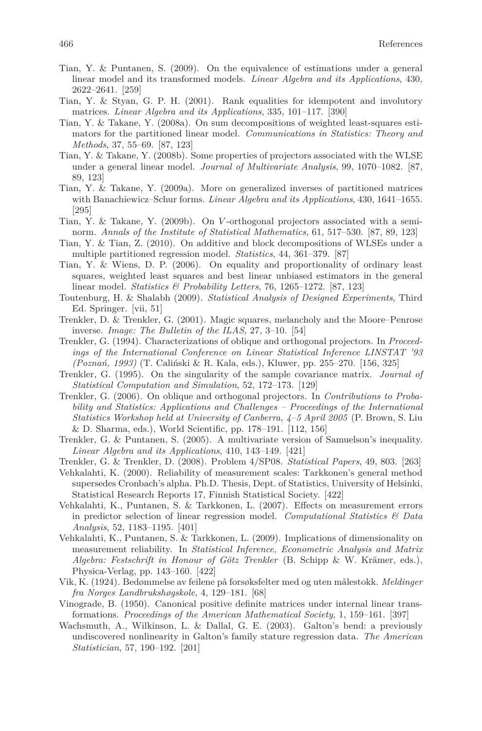- Tian, Y. & Puntanen, S. (2009). On the equivalence of estimations under a general linear model and its transformed models. *Linear Algebra and its Applications*, 430, 2622–2641. [259]
- Tian, Y. & Styan, G. P. H. (2001). Rank equalities for idempotent and involutory matrices. *Linear Algebra and its Applications*, 335, 101–117. [390]
- Tian, Y. & Takane, Y. (2008a). On sum decompositions of weighted least-squares estimators for the partitioned linear model. *Communications in Statistics: Theory and Methods*, 37, 55–69. [87, 123]
- Tian, Y. & Takane, Y. (2008b). Some properties of projectors associated with the WLSE under a general linear model. *Journal of Multivariate Analysis*, 99, 1070–1082. [87, 89, 123]
- Tian, Y. & Takane, Y. (2009a). More on generalized inverses of partitioned matrices with Banachiewicz–Schur forms. *Linear Algebra and its Applications*, 430, 1641–1655. [295]
- Tian, Y. & Takane, Y. (2009b). On *V* -orthogonal projectors associated with a seminorm. *Annals of the Institute of Statistical Mathematics*, 61, 517–530. [87, 89, 123]
- Tian, Y. & Tian, Z. (2010). On additive and block decompositions of WLSEs under a multiple partitioned regression model. *Statistics*, 44, 361–379. [87]
- Tian, Y. & Wiens, D. P. (2006). On equality and proportionality of ordinary least squares, weighted least squares and best linear unbiased estimators in the general linear model. *Statistics & Probability Letters*, 76, 1265–1272. [87, 123]
- Toutenburg, H. & Shalabh (2009). *Statistical Analysis of Designed Experiments*, Third Ed. Springer. [vii, 51]
- Trenkler, D. & Trenkler, G. (2001). Magic squares, melancholy and the Moore–Penrose inverse. *Image: The Bulletin of the ILAS*, 27, 3–10. [54]
- Trenkler, G. (1994). Characterizations of oblique and orthogonal projectors. In *Proceedings of the International Conference on Linear Statistical Inference LINSTAT '93 (Poznań, 1993)* (T. Caliński & R. Kala, eds.), Kluwer, pp. 255–270. [156, 325]
- Trenkler, G. (1995). On the singularity of the sample covariance matrix. *Journal of Statistical Computation and Simulation*, 52, 172–173. [129]
- Trenkler, G. (2006). On oblique and orthogonal projectors. In *Contributions to Probability and Statistics: Applications and Challenges – Proceedings of the International Statistics Workshop held at University of Canberra, 4–5 April 2005* (P. Brown, S. Liu & D. Sharma, eds.), World Scientific, pp. 178–191. [112, 156]
- Trenkler, G. & Puntanen, S. (2005). A multivariate version of Samuelson's inequality. *Linear Algebra and its Applications*, 410, 143–149. [421]
- Trenkler, G. & Trenkler, D. (2008). Problem 4/SP08. *Statistical Papers*, 49, 803. [263]
- Vehkalahti, K. (2000). Reliability of measurement scales: Tarkkonen's general method supersedes Cronbach's alpha. Ph.D. Thesis, Dept. of Statistics, University of Helsinki, Statistical Research Reports 17, Finnish Statistical Society. [422]
- Vehkalahti, K., Puntanen, S. & Tarkkonen, L. (2007). Effects on measurement errors in predictor selection of linear regression model. *Computational Statistics & Data Analysis*, 52, 1183–1195. [401]
- Vehkalahti, K., Puntanen, S. & Tarkkonen, L. (2009). Implications of dimensionality on measurement reliability. In *Statistical Inference, Econometric Analysis and Matrix Algebra: Festschrift in Honour of Götz Trenkler* (B. Schipp & W. Krämer, eds.), Physica-Verlag, pp. 143–160. [422]
- Vik, K. (1924). Bedømmelse av feilene på forsøksfelter med og uten målestokk. *Meldinger fra Norges Landbrukshøgskole*, 4, 129–181. [68]
- Vinograde, B. (1950). Canonical positive definite matrices under internal linear transformations. *Proceedings of the American Mathematical Society*, 1, 159–161. [397]
- Wachsmuth, A., Wilkinson, L. & Dallal, G. E. (2003). Galton's bend: a previously undiscovered nonlinearity in Galton's family stature regression data. *The American Statistician*, 57, 190–192. [201]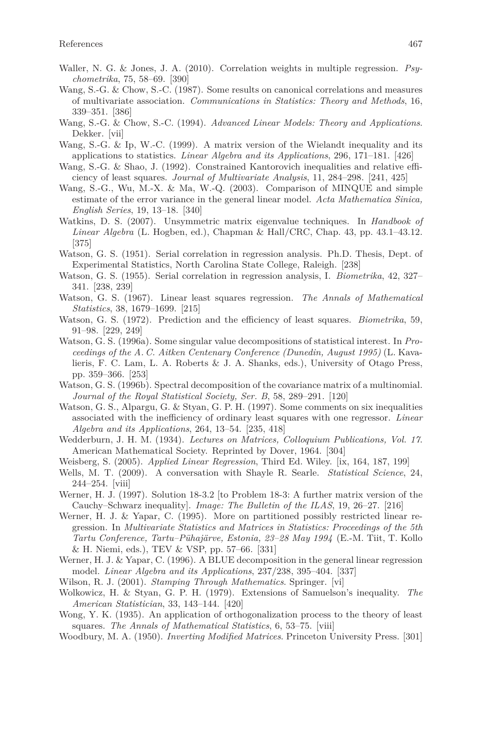- Waller, N. G. & Jones, J. A. (2010). Correlation weights in multiple regression. *Psychometrika*, 75, 58–69. [390]
- Wang, S.-G. & Chow, S.-C. (1987). Some results on canonical correlations and measures of multivariate association. *Communications in Statistics: Theory and Methods*, 16, 339–351. [386]
- Wang, S.-G. & Chow, S.-C. (1994). *Advanced Linear Models: Theory and Applications*. Dekker. [vii]
- Wang, S.-G. & Ip, W.-C. (1999). A matrix version of the Wielandt inequality and its applications to statistics. *Linear Algebra and its Applications*, 296, 171–181. [426]
- Wang, S.-G. & Shao, J. (1992). Constrained Kantorovich inequalities and relative efficiency of least squares. *Journal of Multivariate Analysis*, 11, 284–298. [241, 425]
- Wang, S.-G., Wu, M.-X. & Ma, W.-Q. (2003). Comparison of MINQUE and simple estimate of the error variance in the general linear model. *Acta Mathematica Sinica, English Series*, 19, 13–18. [340]
- Watkins, D. S. (2007). Unsymmetric matrix eigenvalue techniques. In *Handbook of Linear Algebra* (L. Hogben, ed.), Chapman & Hall/CRC, Chap. 43, pp. 43.1–43.12. [375]
- Watson, G. S. (1951). Serial correlation in regression analysis. Ph.D. Thesis, Dept. of Experimental Statistics, North Carolina State College, Raleigh. [238]
- Watson, G. S. (1955). Serial correlation in regression analysis, I. *Biometrika*, 42, 327– 341. [238, 239]
- Watson, G. S. (1967). Linear least squares regression. *The Annals of Mathematical Statistics*, 38, 1679–1699. [215]
- Watson, G. S. (1972). Prediction and the efficiency of least squares. *Biometrika*, 59, 91–98. [229, 249]
- Watson, G. S. (1996a). Some singular value decompositions of statistical interest. In *Proceedings of the A. C. Aitken Centenary Conference (Dunedin, August 1995)* (L. Kavalieris, F. C. Lam, L. A. Roberts & J. A. Shanks, eds.), University of Otago Press, pp. 359–366. [253]
- Watson, G. S. (1996b). Spectral decomposition of the covariance matrix of a multinomial. *Journal of the Royal Statistical Society, Ser. B*, 58, 289–291. [120]
- Watson, G. S., Alpargu, G. & Styan, G. P. H. (1997). Some comments on six inequalities associated with the inefficiency of ordinary least squares with one regressor. *Linear Algebra and its Applications*, 264, 13–54. [235, 418]
- Wedderburn, J. H. M. (1934). *Lectures on Matrices, Colloquium Publications, Vol. 17*. American Mathematical Society. Reprinted by Dover, 1964. [304]
- Weisberg, S. (2005). *Applied Linear Regression*, Third Ed. Wiley. [ix, 164, 187, 199]
- Wells, M. T. (2009). A conversation with Shayle R. Searle. *Statistical Science*, 24, 244–254. [viii]
- Werner, H. J. (1997). Solution 18-3.2 [to Problem 18-3: A further matrix version of the Cauchy–Schwarz inequality]. *Image: The Bulletin of the ILAS*, 19, 26–27. [216]
- Werner, H. J. & Yapar, C. (1995). More on partitioned possibly restricted linear regression. In *Multivariate Statistics and Matrices in Statistics: Proceedings of the 5th Tartu Conference, Tartu–Pühajärve, Estonia, 23–28 May 1994* (E.-M. Tiit, T. Kollo & H. Niemi, eds.), TEV & VSP, pp. 57–66. [331]
- Werner, H. J. & Yapar, C. (1996). A BLUE decomposition in the general linear regression model. *Linear Algebra and its Applications*, 237/238, 395–404. [337]
- Wilson, R. J. (2001). *Stamping Through Mathematics*. Springer. [vi]
- Wolkowicz, H. & Styan, G. P. H. (1979). Extensions of Samuelson's inequality. *The American Statistician*, 33, 143–144. [420]
- Wong, Y. K. (1935). An application of orthogonalization process to the theory of least squares. *The Annals of Mathematical Statistics*, 6, 53–75. [viii]
- Woodbury, M. A. (1950). *Inverting Modified Matrices*. Princeton University Press. [301]